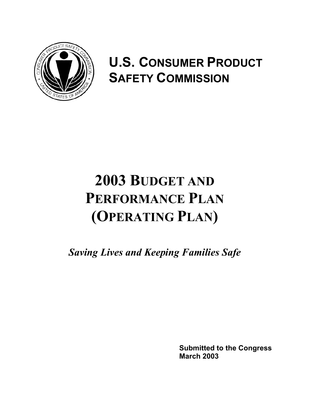

# **U.S. CONSUMER PRODUCT SAFETY COMMISSION**

# **2003 BUDGET AND PERFORMANCE PLAN (OPERATING PLAN)**

*Saving Lives and Keeping Families Safe*

**Submitted to the Congress March 2003**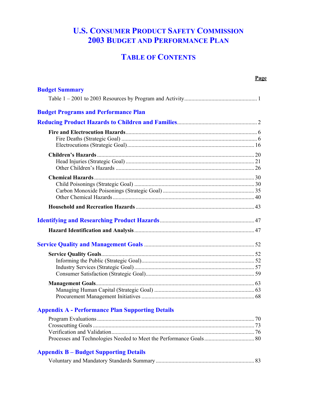# **U.S. CONSUMER PRODUCT SAFETY COMMISSION 2003 BUDGET AND PERFORMANCE PLAN**

# **TABLE OF CONTENTS**

|                                             | Page |
|---------------------------------------------|------|
| <b>Budget Summary</b>                       |      |
|                                             |      |
| <b>Budget Programs and Performance Plan</b> |      |
|                                             |      |
|                                             |      |
|                                             |      |
|                                             |      |
|                                             |      |
|                                             |      |
|                                             |      |
|                                             |      |
|                                             |      |
|                                             |      |
|                                             |      |
|                                             |      |
|                                             |      |
|                                             |      |
|                                             |      |
|                                             |      |
|                                             |      |
|                                             |      |
|                                             |      |
|                                             |      |
|                                             |      |

## **Appendix B – Budget Supporting Details**

|--|--|--|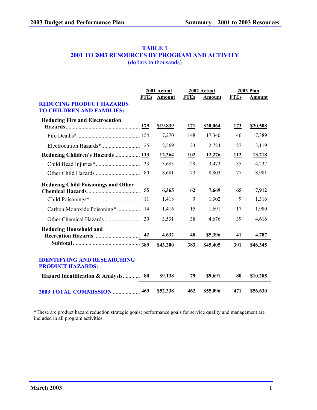#### **TABLE 1 2001 TO 2003 RESOURCES BY PROGRAM AND ACTIVITY** (dollars in thousands)

|                                                                     |             | 2001 Actual |             | 2002 Actual   |             | <b>2003 Plan</b> |
|---------------------------------------------------------------------|-------------|-------------|-------------|---------------|-------------|------------------|
| <b>REDUCING PRODUCT HAZARDS</b><br><b>TO CHILDREN AND FAMILIES:</b> | <b>FTEs</b> | Amount      | <b>FTEs</b> | <b>Amount</b> | <b>FTEs</b> | Amount           |
| <b>Reducing Fire and Electrocution</b>                              |             | \$19,839    | <u>171</u>  | \$20,064      | <u>173</u>  | \$20,508         |
|                                                                     |             | 17,270      | 148         | 17,340        | 146         | 17,389           |
|                                                                     | 25          | 2,569       | 23          | 2,724         | 27          | 3,119            |
| Reducing Children's Hazards 113                                     |             | 12,364      | 102         | 12,276        | 112         | 13,218           |
|                                                                     | 33          | 3,683       | 29          | 3,473         | 35          | 4,237            |
|                                                                     | 80          | 8,681       | 73          | 8,803         | 77          | 8,981            |
| <b>Reducing Child Poisonings and Other</b>                          | 55          | 6,365       | 62          | 7,669         | <u>65</u>   | 7,912            |
|                                                                     | 11          | 1,418       | 9           | 1,302         | 9           | 1,316            |
| Carbon Monoxide Poisoning*                                          | 14          | 1,416       | 15          | 1,691         | 17          | 1,980            |
|                                                                     | 30          | 3,531       | 38          | 4,676         | 39          | 4,616            |
| <b>Reducing Household and</b>                                       | 42          | 4,632       | 48          | \$5,396       | 41          | 4,707            |
|                                                                     |             | \$43,200    | 383         | \$45,405      | 391         | \$46,345         |
| <b>IDENTIFYING AND RESEARCHING</b><br><b>PRODUCT HAZARDS:</b>       |             |             |             |               |             |                  |
| Hazard Identification & Analysis                                    | 80          | \$9,138     | 79          | \$9,691       | 80          | \$10,285         |
| 2003 TOTAL COMMISSION  469                                          |             | \$52,338    | 462         | \$55,096      | 471         | \$56,630         |

\*These are product hazard reduction strategic goals; performance goals for service quality and management are included in all program activities.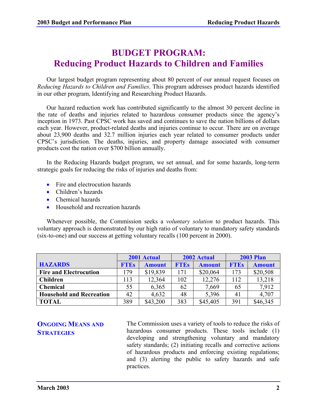# **BUDGET PROGRAM: Reducing Product Hazards to Children and Families**

Our largest budget program representing about 80 percent of our annual request focuses on *Reducing Hazards to Children and Families*. This program addresses product hazards identified in our other program, Identifying and Researching Product Hazards.

Our hazard reduction work has contributed significantly to the almost 30 percent decline in the rate of deaths and injuries related to hazardous consumer products since the agency's inception in 1973. Past CPSC work has saved and continues to save the nation billions of dollars each year. However, product-related deaths and injuries continue to occur. There are on average about 23,900 deaths and 32.7 million injuries each year related to consumer products under CPSC's jurisdiction. The deaths, injuries, and property damage associated with consumer products cost the nation over \$700 billion annually.

In the Reducing Hazards budget program, we set annual, and for some hazards, long-term strategic goals for reducing the risks of injuries and deaths from:

- Fire and electrocution hazards
- Children's hazards
- Chemical hazards
- Household and recreation hazards

Whenever possible, the Commission seeks a *voluntary solution* to product hazards. This voluntary approach is demonstrated by our high ratio of voluntary to mandatory safety standards (six-to-one) and our success at getting voluntary recalls (100 percent in 2000).

|                                 | 2001 Actual |               |             | 2002 Actual   | <b>2003 Plan</b> |               |  |
|---------------------------------|-------------|---------------|-------------|---------------|------------------|---------------|--|
| <b>HAZARDS</b>                  | <b>FTEs</b> | <b>Amount</b> | <b>FTEs</b> | <b>Amount</b> | <b>FTEs</b>      | <b>Amount</b> |  |
| <b>Fire and Electrocution</b>   | 179         | \$19,839      | 171         | \$20,064      | 173              | \$20,508      |  |
| <b>Children</b>                 | 113         | 12,364        | 102         | 12,276        | 112              | 13,218        |  |
| <b>Chemical</b>                 | 55          | 6,365         | 62          | 7,669         | 65               | 7,912         |  |
| <b>Household and Recreation</b> | 42          | 4,632         | 48          | 5,396         | 41               | 4,707         |  |
| <b>TOTAL</b>                    | 389         | \$43,200      | 383         | \$45,405      | 391              | \$46,345      |  |

**ONGOING MEANS AND STRATEGIES**

The Commission uses a variety of tools to reduce the risks of hazardous consumer products. These tools include (1) developing and strengthening voluntary and mandatory safety standards; (2) initiating recalls and corrective actions of hazardous products and enforcing existing regulations; and (3) alerting the public to safety hazards and safe practices.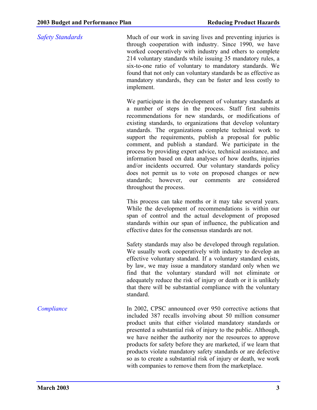*Safety Standards* Much of our work in saving lives and preventing injuries is through cooperation with industry. Since 1990, we have worked cooperatively with industry and others to complete 214 voluntary standards while issuing 35 mandatory rules, a six-to-one ratio of voluntary to mandatory standards. We found that not only can voluntary standards be as effective as mandatory standards, they can be faster and less costly to implement.

> We participate in the development of voluntary standards at a number of steps in the process. Staff first submits recommendations for new standards, or modifications of existing standards, to organizations that develop voluntary standards. The organizations complete technical work to support the requirements, publish a proposal for public comment, and publish a standard. We participate in the process by providing expert advice, technical assistance, and information based on data analyses of how deaths, injuries and/or incidents occurred. Our voluntary standards policy does not permit us to vote on proposed changes or new standards; however, our comments are considered throughout the process.

> This process can take months or it may take several years. While the development of recommendations is within our span of control and the actual development of proposed standards within our span of influence, the publication and effective dates for the consensus standards are not.

> Safety standards may also be developed through regulation. We usually work cooperatively with industry to develop an effective voluntary standard. If a voluntary standard exists, by law, we may issue a mandatory standard only when we find that the voluntary standard will not eliminate or adequately reduce the risk of injury or death or it is unlikely that there will be substantial compliance with the voluntary standard.

*Compliance* In 2002, CPSC announced over 950 corrective actions that included 387 recalls involving about 50 million consumer product units that either violated mandatory standards or presented a substantial risk of injury to the public. Although, we have neither the authority nor the resources to approve products for safety before they are marketed, if we learn that products violate mandatory safety standards or are defective so as to create a substantial risk of injury or death, we work with companies to remove them from the marketplace.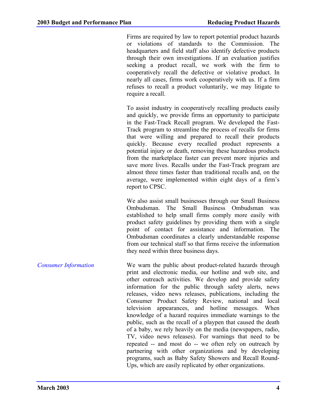Firms are required by law to report potential product hazards or violations of standards to the Commission. The headquarters and field staff also identify defective products through their own investigations. If an evaluation justifies seeking a product recall, we work with the firm to cooperatively recall the defective or violative product. In nearly all cases, firms work cooperatively with us. If a firm refuses to recall a product voluntarily, we may litigate to require a recall.

To assist industry in cooperatively recalling products easily and quickly, we provide firms an opportunity to participate in the Fast-Track Recall program. We developed the Fast-Track program to streamline the process of recalls for firms that were willing and prepared to recall their products quickly. Because every recalled product represents a potential injury or death, removing these hazardous products from the marketplace faster can prevent more injuries and save more lives. Recalls under the Fast-Track program are almost three times faster than traditional recalls and, on the average, were implemented within eight days of a firm's report to CPSC.

We also assist small businesses through our Small Business Ombudsman. The Small Business Ombudsman was established to help small firms comply more easily with product safety guidelines by providing them with a single point of contact for assistance and information. The Ombudsman coordinates a clearly understandable response from our technical staff so that firms receive the information they need within three business days.

*Consumer Information* We warn the public about product-related hazards through print and electronic media, our hotline and web site, and other outreach activities. We develop and provide safety information for the public through safety alerts, news releases, video news releases, publications, including the Consumer Product Safety Review, national and local television appearances, and hotline messages. When knowledge of a hazard requires immediate warnings to the public, such as the recall of a playpen that caused the death of a baby, we rely heavily on the media (newspapers, radio, TV, video news releases). For warnings that need to be repeated -- and most do -- we often rely on outreach by partnering with other organizations and by developing programs, such as Baby Safety Showers and Recall Round-Ups, which are easily replicated by other organizations.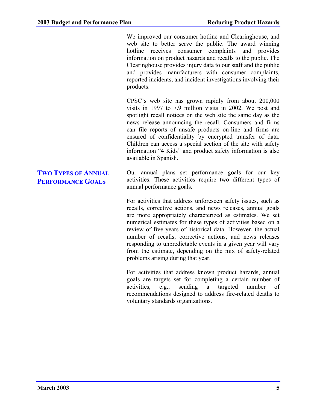We improved our consumer hotline and Clearinghouse, and web site to better serve the public. The award winning hotline receives consumer complaints and provides information on product hazards and recalls to the public. The Clearinghouse provides injury data to our staff and the public and provides manufacturers with consumer complaints, reported incidents, and incident investigations involving their products.

CPSC's web site has grown rapidly from about 200,000 visits in 1997 to 7.9 million visits in 2002. We post and spotlight recall notices on the web site the same day as the news release announcing the recall. Consumers and firms can file reports of unsafe products on-line and firms are ensured of confidentiality by encrypted transfer of data. Children can access a special section of the site with safety information "4 Kids" and product safety information is also available in Spanish.

Our annual plans set performance goals for our key activities. These activities require two different types of annual performance goals.

For activities that address unforeseen safety issues, such as recalls, corrective actions, and news releases, annual goals are more appropriately characterized as estimates. We set numerical estimates for these types of activities based on a review of five years of historical data. However, the actual number of recalls, corrective actions, and news releases responding to unpredictable events in a given year will vary from the estimate, depending on the mix of safety-related problems arising during that year.

For activities that address known product hazards, annual goals are targets set for completing a certain number of activities, e.g., sending a targeted number of recommendations designed to address fire-related deaths to voluntary standards organizations.

### **TWO TYPES OF ANNUAL PERFORMANCE GOALS**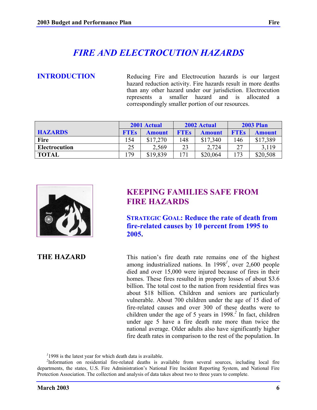# *FIRE AND ELECTROCUTION HAZARDS*

**INTRODUCTION** Reducing Fire and Electrocution hazards is our largest hazard reduction activity. Fire hazards result in more deaths than any other hazard under our jurisdiction. Electrocution represents a smaller hazard and is allocated a correspondingly smaller portion of our resources.

|                | 2001 Actual |               |             | 2002 Actual | <b>2003 Plan</b> |               |  |
|----------------|-------------|---------------|-------------|-------------|------------------|---------------|--|
| <b>HAZARDS</b> | <b>FTEs</b> | <b>Amount</b> | <b>FTEs</b> | Amount      | <b>FTEs</b>      | <b>Amount</b> |  |
| <b>Fire</b>    | .54         | \$17,270      | 148         | \$17,340    | 146              | \$17,389      |  |
| Electrocution  | 25          | 2.569         | 23          | 2,724       | 27               | 3.119         |  |
| <b>TOTAL</b>   | 79          | \$19,839      |             | \$20,064    | 173              | \$20,508      |  |



# **KEEPING FAMILIES SAFE FROM FIRE HAZARDS**

**STRATEGIC GOAL: Reduce the rate of death from fire-related causes by 10 percent from 1995 to 2005.**

**THE HAZARD** This nation's fire death rate remains one of the highest among industrialized nations. In 1998*<sup>1</sup>* , over 2,600 people died and over 15,000 were injured because of fires in their homes. These fires resulted in property losses of about \$3.6 billion. The total cost to the nation from residential fires was about \$18 billion. Children and seniors are particularly vulnerable. About 700 children under the age of 15 died of fire-related causes and over 300 of these deaths were to children under the age of 5 years in 1998.*<sup>2</sup>* In fact, children under age 5 have a fire death rate more than twice the national average. Older adults also have significantly higher fire death rates in comparison to the rest of the population. In

<sup>1</sup>1998 is the latest year for which death data is available.

<sup>2</sup>Information on residential fire-related deaths is available from several sources, including local fire departments, the states, U.S. Fire Administration's National Fire Incident Reporting System, and National Fire Protection Association. The collection and analysis of data takes about two to three years to complete.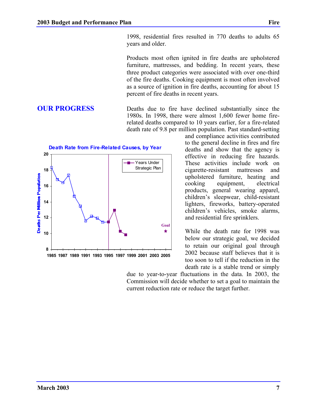1998, residential fires resulted in 770 deaths to adults 65 years and older.

Products most often ignited in fire deaths are upholstered furniture, mattresses, and bedding. In recent years, these three product categories were associated with over one-third of the fire deaths. Cooking equipment is most often involved as a source of ignition in fire deaths, accounting for about 15 percent of fire deaths in recent years.

**OUR PROGRESS** Deaths due to fire have declined substantially since the 1980s. In 1998, there were almost 1,600 fewer home firerelated deaths compared to 10 years earlier, for a fire-related death rate of 9.8 per million population. Past standard-setting

and compliance activities contributed to the general decline in fires and fire deaths and show that the agency is effective in reducing fire hazards. These activities include work on cigarette-resistant mattresses and upholstered furniture, heating and cooking equipment, electrical products, general wearing apparel, children's sleepwear, child-resistant lighters, fireworks, battery-operated children's vehicles, smoke alarms, and residential fire sprinklers.

While the death rate for 1998 was below our strategic goal, we decided to retain our original goal through 2002 because staff believes that it is too soon to tell if the reduction in the death rate is a stable trend or simply

due to year-to-year fluctuations in the data. In 2003, the Commission will decide whether to set a goal to maintain the current reduction rate or reduce the target further.

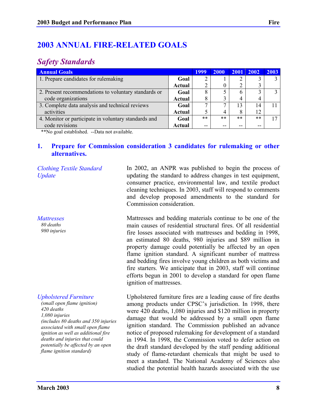# **2003 ANNUAL FIRE-RELATED GOALS**

# *Safety Standards*

| <b>Annual Goals</b>                                  | <b>1999</b> | 2000  | 2001 2002 |       | 2003 |  |
|------------------------------------------------------|-------------|-------|-----------|-------|------|--|
| 1. Prepare candidates for rulemaking                 | Goal        | 2     |           |       |      |  |
|                                                      | Actual      | 2     |           |       |      |  |
| 2. Present recommendations to voluntary standards or | Goal        | 8     |           |       |      |  |
| code organizations                                   | Actual      | 8     |           |       | 4    |  |
| 3. Complete data analysis and technical reviews      | Goal        | ⇁     |           | 13    | 14   |  |
| activities                                           | Actual      | 5     | 4         | 8     | 12   |  |
| 4. Monitor or participate in voluntary standards and | Goal        | $***$ | $***$     | $***$ | **   |  |
| code revisions                                       | Actual      | $- -$ |           | --    | --   |  |

\*\*No goal established. --Data not available.

#### **1. Prepare for Commission consideration 3 candidates for rulemaking or other alternatives.**

*Clothing Textile Standard Update*

*Mattresses 80 deaths*

*980 injuries*

#### *Upholstered Furniture*

*(small open flame ignition) 420 deaths 1,080 injuries (includes 80 deaths and 350 injuries associated with small open flame ignition as well as additional fire deaths and injuries that could potentially be affected by an open flame ignition standard)*

In 2002, an ANPR was published to begin the process of updating the standard to address changes in test equipment, consumer practice, environmental law, and textile product cleaning techniques. In 2003, staff will respond to comments and develop proposed amendments to the standard for Commission consideration.

Mattresses and bedding materials continue to be one of the main causes of residential structural fires. Of all residential fire losses associated with mattresses and bedding in 1998, an estimated 80 deaths, 980 injuries and \$89 million in property damage could potentially be affected by an open flame ignition standard. A significant number of mattress and bedding fires involve young children as both victims and fire starters. We anticipate that in 2003, staff will continue efforts begun in 2001 to develop a standard for open flame ignition of mattresses.

Upholstered furniture fires are a leading cause of fire deaths among products under CPSC's jurisdiction. In 1998, there were 420 deaths, 1,080 injuries and \$120 million in property damage that would be addressed by a small open flame ignition standard. The Commission published an advance notice of proposed rulemaking for development of a standard in 1994. In 1998, the Commission voted to defer action on the draft standard developed by the staff pending additional study of flame-retardant chemicals that might be used to meet a standard. The National Academy of Sciences also studied the potential health hazards associated with the use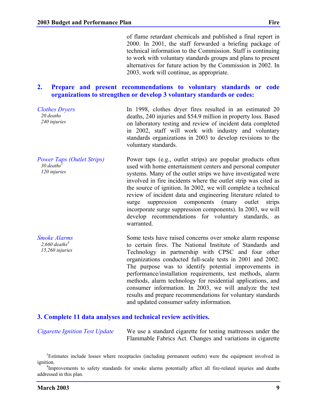### **2. Prepare and present recommendations to voluntary standards or code organizations to strengthen or develop 3 voluntary standards or codes:**

2003, work will continue, as appropriate.

*Clothes Dryers 20 deaths 240 injuries* In 1998, clothes dryer fires resulted in an estimated 20 deaths, 240 injuries and \$54.9 million in property loss. Based on laboratory testing and review of incident data completed in 2002, staff will work with industry and voluntary standards organizations in 2003 to develop revisions to the voluntary standards.

*Power Taps (Outlet Strips)*  $30$  deaths<sup>3</sup> *120 injuries* Power taps (e.g., outlet strips) are popular products often used with home entertainment centers and personal computer systems. Many of the outlet strips we have investigated were involved in fire incidents where the outlet strip was cited as the source of ignition. In 2002, we will complete a technical review of incident data and engineering literature related to surge suppression components (many outlet strips incorporate surge suppression components). In 2003, we will develop recommendations for voluntary standards, as warranted.

> Some tests have raised concerns over smoke alarm response to certain fires. The National Institute of Standards and Technology in partnership with CPSC and four other organizations conducted full-scale tests in 2001 and 2002. The purpose was to identify potential improvements in performance/installation requirements, test methods, alarm methods, alarm technology for residential applications, and consumer information. In 2003, we will analyze the test results and prepare recommendations for voluntary standards and updated consumer safety information.

### **3. Complete 11 data analyses and technical review activities.**

| <b>Cigarette Ignition Test Update</b> | We use a standard cigarette for testing mattresses under the |
|---------------------------------------|--------------------------------------------------------------|
|                                       | Flammable Fabrics Act. Changes and variations in cigarette   |

<sup>&</sup>lt;sup>3</sup>Estimates include losses where receptacles (including permanent outlets) were the equipment involved in ignition.

*Smoke Alarms 2,660 deaths4 15,260 injuries*

<sup>&</sup>lt;sup>4</sup>Improvements to safety standards for smoke alarms potentially affect all fire-related injuries and deaths addressed in this plan.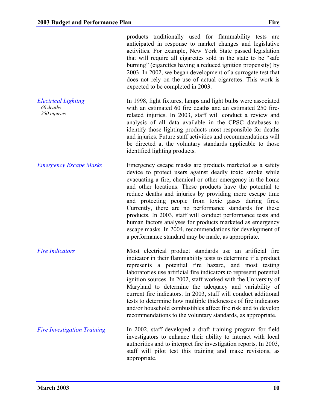products traditionally used for flammability tests are anticipated in response to market changes and legislative activities. For example, New York State passed legislation that will require all cigarettes sold in the state to be "safe burning" (cigarettes having a reduced ignition propensity) by 2003. In 2002, we began development of a surrogate test that does not rely on the use of actual cigarettes. This work is expected to be completed in 2003.

*Electrical Lighting 60 deaths 250 injuries* In 1998, light fixtures, lamps and light bulbs were associated with an estimated 60 fire deaths and an estimated 250 firerelated injuries. In 2003, staff will conduct a review and analysis of all data available in the CPSC databases to identify those lighting products most responsible for deaths and injuries. Future staff activities and recommendations will be directed at the voluntary standards applicable to those identified lighting products.

*Emergency Escape Masks* Emergency escape masks are products marketed as a safety device to protect users against deadly toxic smoke while evacuating a fire, chemical or other emergency in the home and other locations. These products have the potential to reduce deaths and injuries by providing more escape time and protecting people from toxic gases during fires. Currently, there are no performance standards for these products. In 2003, staff will conduct performance tests and human factors analyses for products marketed as emergency escape masks. In 2004, recommendations for development of a performance standard may be made, as appropriate.

*Fire Indicators* **Most** electrical product standards use an artificial fire indicator in their flammability tests to determine if a product represents a potential fire hazard, and most testing laboratories use artificial fire indicators to represent potential ignition sources. In 2002, staff worked with the University of Maryland to determine the adequacy and variability of current fire indicators. In 2003, staff will conduct additional tests to determine how multiple thicknesses of fire indicators and/or household combustibles affect fire risk and to develop recommendations to the voluntary standards, as appropriate.

*Fire Investigation Training* In 2002, staff developed a draft training program for field investigators to enhance their ability to interact with local authorities and to interpret fire investigation reports. In 2003, staff will pilot test this training and make revisions, as appropriate.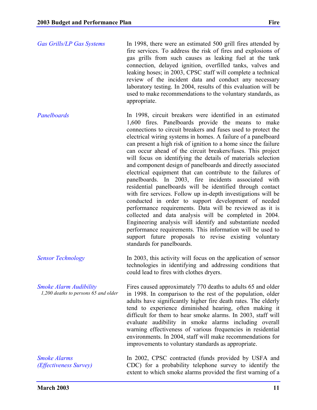| <b>Gas Grills/LP Gas Systems</b>                                      | In 1998, there were an estimated 500 grill fires attended by<br>fire services. To address the risk of fires and explosions of<br>gas grills from such causes as leaking fuel at the tank<br>connection, delayed ignition, overfilled tanks, valves and<br>leaking hoses; in 2003, CPSC staff will complete a technical<br>review of the incident data and conduct any necessary<br>laboratory testing. In 2004, results of this evaluation will be<br>used to make recommendations to the voluntary standards, as<br>appropriate.                                                                                                                                                                                                                                                                                                                                                                                                                                                                                                                                                                                                                                        |
|-----------------------------------------------------------------------|--------------------------------------------------------------------------------------------------------------------------------------------------------------------------------------------------------------------------------------------------------------------------------------------------------------------------------------------------------------------------------------------------------------------------------------------------------------------------------------------------------------------------------------------------------------------------------------------------------------------------------------------------------------------------------------------------------------------------------------------------------------------------------------------------------------------------------------------------------------------------------------------------------------------------------------------------------------------------------------------------------------------------------------------------------------------------------------------------------------------------------------------------------------------------|
| Panelboards                                                           | In 1998, circuit breakers were identified in an estimated<br>1,600 fires. Panelboards provide the means to make<br>connections to circuit breakers and fuses used to protect the<br>electrical wiring systems in homes. A failure of a panelboard<br>can present a high risk of ignition to a home since the failure<br>can occur ahead of the circuit breakers/fuses. This project<br>will focus on identifying the details of materials selection<br>and component design of panelboards and directly associated<br>electrical equipment that can contribute to the failures of<br>panelboards. In 2003, fire incidents associated with<br>residential panelboards will be identified through contact<br>with fire services. Follow up in-depth investigations will be<br>conducted in order to support development of needed<br>performance requirements. Data will be reviewed as it is<br>collected and data analysis will be completed in 2004.<br>Engineering analysis will identify and substantiate needed<br>performance requirements. This information will be used to<br>support future proposals to revise existing voluntary<br>standards for panelboards. |
| <b>Sensor Technology</b>                                              | In 2003, this activity will focus on the application of sensor<br>technologies in identifying and addressing conditions that<br>could lead to fires with clothes dryers.                                                                                                                                                                                                                                                                                                                                                                                                                                                                                                                                                                                                                                                                                                                                                                                                                                                                                                                                                                                                 |
| <b>Smoke Alarm Audibility</b><br>1,200 deaths to persons 65 and older | Fires caused approximately 770 deaths to adults 65 and older<br>in 1998. In comparison to the rest of the population, older<br>adults have significantly higher fire death rates. The elderly<br>tend to experience diminished hearing, often making it<br>difficult for them to hear smoke alarms. In 2003, staff will<br>evaluate audibility in smoke alarms including overall<br>warning effectiveness of various frequencies in residential<br>environments. In 2004, staff will make recommendations for<br>improvements to voluntary standards as appropriate.                                                                                                                                                                                                                                                                                                                                                                                                                                                                                                                                                                                                     |
| <b>Smoke Alarms</b><br>(Effectiveness Survey)                         | In 2002, CPSC contracted (funds provided by USFA and<br>CDC) for a probability telephone survey to identify the<br>extent to which smoke alarms provided the first warning of a                                                                                                                                                                                                                                                                                                                                                                                                                                                                                                                                                                                                                                                                                                                                                                                                                                                                                                                                                                                          |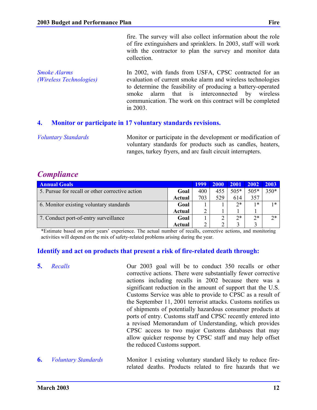fire. The survey will also collect information about the role of fire extinguishers and sprinklers. In 2003, staff will work with the contractor to plan the survey and monitor data collection.

*Smoke Alarms (Wireless Technologies)* In 2002, with funds from USFA, CPSC contracted for an evaluation of current smoke alarm and wireless technologies to determine the feasibility of producing a battery-operated smoke alarm that is interconnected by wireless communication. The work on this contract will be completed in 2003.

#### **4. Monitor or participate in 17 voluntary standards revisions.**

*Voluntary Standards* Monitor or participate in the development or modification of voluntary standards for products such as candles, heaters, ranges, turkey fryers, and arc fault circuit interrupters.

# *Compliance*

| <b>Annual Goals</b>                             |        | 1999 | <b>2000</b> | <b>2001</b> | 2002   | 2003 |
|-------------------------------------------------|--------|------|-------------|-------------|--------|------|
| 5. Pursue for recall or other corrective action | Goal   | 400  | 455         | 505*        | $505*$ | 350* |
|                                                 | Actual | 703  | 529         | 614         | 357    |      |
| 6. Monitor existing voluntary standards         | Goal   |      |             | $2*$        | *      | $1*$ |
|                                                 | Actual |      |             |             |        |      |
| 7. Conduct port-of-entry surveillance           | Goal   |      |             | $2*$        | $2*$   | $2*$ |
|                                                 | Actual |      |             |             |        |      |

\*Estimate based on prior years' experience. The actual number of recalls, corrective actions, and monitoring activities will depend on the mix of safety-related problems arising during the year.

### **Identify and act on products that present a risk of fire-related death through:**

- **5.** *Recalls* **Our 2003 goal will be to conduct 350 recalls or other** corrective actions. There were substantially fewer corrective actions including recalls in 2002 because there was a significant reduction in the amount of support that the U.S. Customs Service was able to provide to CPSC as a result of the September 11, 2001 terrorist attacks. Customs notifies us of shipments of potentially hazardous consumer products at ports of entry. Customs staff and CPSC recently entered into a revised Memorandum of Understanding, which provides CPSC access to two major Customs databases that may allow quicker response by CPSC staff and may help offset the reduced Customs support.
- **6.** *Voluntary Standards* Monitor 1 existing voluntary standard likely to reduce firerelated deaths. Products related to fire hazards that we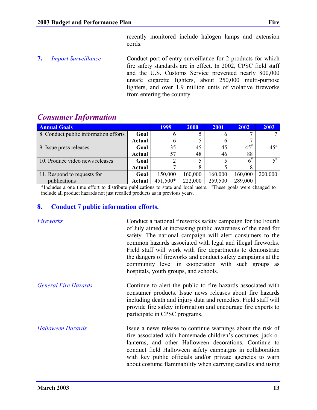recently monitored include halogen lamps and extension cords.

**7.** *Import Surveillance* Conduct port-of-entry surveillance for 2 products for which fire safety standards are in effect. In 2002, CPSC field staff and the U.S. Customs Service prevented nearly 800,000 unsafe cigarette lighters, about 250,000 multi-purpose lighters, and over 1.9 million units of violative fireworks from entering the country.

| <b>Consumer Information</b> |
|-----------------------------|
|                             |

| <b>Annual Goals</b>                   |               | <b>1999</b> | <b>2000</b> | 2001         | 2002      | 2003      |
|---------------------------------------|---------------|-------------|-------------|--------------|-----------|-----------|
| 8. Conduct public information efforts | Goal          | n           |             | b            |           |           |
|                                       | <b>Actual</b> | h           |             | <sub>0</sub> |           |           |
| 9. Issue press releases               | Goal          | 35          | 45          | 45           | $45^{\#}$ | $45^{\#}$ |
|                                       | <b>Actual</b> | 57          | 48          | 46           | 88        |           |
| 10. Produce video news releases       | Goal          | ∍           |             |              | $6^{#}$   | 5#        |
|                                       | <b>Actual</b> |             |             |              |           |           |
| 11. Respond to requests for           | Goal          | 150,000     | 160,000     | 160,000      | 160,000   | 200,000   |
| publications                          | Actual        | 451,500*    | 222,000     | 259,500      | 289,000   |           |

\*Includes a one time effort to distribute publications to state and local users. # These goals were changed to include all product hazards not just recalled products as in previous years.

### **8. Conduct 7 public information efforts.**

| Fireworks                   | Conduct a national fireworks safety campaign for the Fourth<br>of July aimed at increasing public awareness of the need for<br>safety. The national campaign will alert consumers to the<br>common hazards associated with legal and illegal fireworks.<br>Field staff will work with fire departments to demonstrate<br>the dangers of fireworks and conduct safety campaigns at the<br>community level in cooperation with such groups as<br>hospitals, youth groups, and schools. |
|-----------------------------|--------------------------------------------------------------------------------------------------------------------------------------------------------------------------------------------------------------------------------------------------------------------------------------------------------------------------------------------------------------------------------------------------------------------------------------------------------------------------------------|
| <b>General Fire Hazards</b> | Continue to alert the public to fire hazards associated with<br>consumer products. Issue news releases about fire hazards<br>including death and injury data and remedies. Field staff will<br>provide fire safety information and encourage fire experts to<br>participate in CPSC programs.                                                                                                                                                                                        |
| <b>Halloween Hazards</b>    | Issue a news release to continue warnings about the risk of<br>fire associated with homemade children's costumes, jack-o-<br>lanterns, and other Halloween decorations. Continue to<br>conduct field Halloween safety campaigns in collaboration<br>with key public officials and/or private agencies to warn<br>about costume flammability when carrying candles and using                                                                                                          |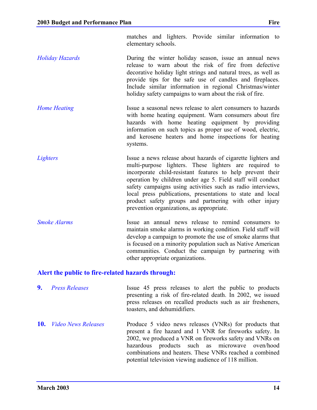matches and lighters. Provide similar information to elementary schools.

- *Holiday Hazards* **During the winter holiday season, issue an annual news** release to warn about the risk of fire from defective decorative holiday light strings and natural trees, as well as provide tips for the safe use of candles and fireplaces. Include similar information in regional Christmas/winter holiday safety campaigns to warn about the risk of fire.
- *Home Heating* Issue a seasonal news release to alert consumers to hazards with home heating equipment. Warn consumers about fire hazards with home heating equipment by providing information on such topics as proper use of wood, electric, and kerosene heaters and home inspections for heating systems.
- *Lighters* Issue a news release about hazards of cigarette lighters and multi-purpose lighters. These lighters are required to incorporate child-resistant features to help prevent their operation by children under age 5. Field staff will conduct safety campaigns using activities such as radio interviews, local press publications, presentations to state and local product safety groups and partnering with other injury prevention organizations, as appropriate.
- *Smoke Alarms* **ISSUE** an annual news release to remind consumers to maintain smoke alarms in working condition. Field staff will develop a campaign to promote the use of smoke alarms that is focused on a minority population such as Native American communities. Conduct the campaign by partnering with other appropriate organizations.

### **Alert the public to fire-related hazards through:**

**9.** *Press Releases* Issue 45 press releases to alert the public to products presenting a risk of fire-related death. In 2002, we issued press releases on recalled products such as air fresheners, toasters, and dehumidifiers. **10.** *Video News Releases* Produce 5 video news releases (VNRs) for products that present a fire hazard and 1 VNR for fireworks safety. In 2002, we produced a VNR on fireworks safety and VNRs on hazardous products such as microwave oven/hood combinations and heaters. These VNRs reached a combined

potential television viewing audience of 118 million.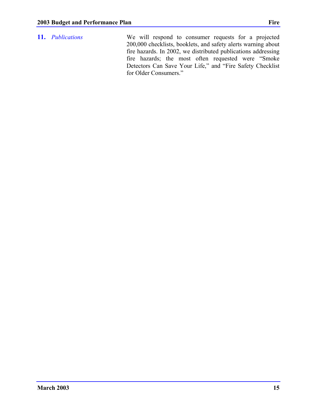**11.** *Publications* We will respond to consumer requests for a projected 200,000 checklists, booklets, and safety alerts warning about fire hazards. In 2002, we distributed publications addressing fire hazards; the most often requested were "Smoke Detectors Can Save Your Life," and "Fire Safety Checklist for Older Consumers."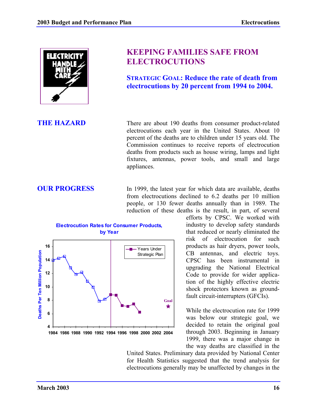

# **KEEPING FAMILIES SAFE FROM ELECTROCUTIONS**

**STRATEGIC GOAL: Reduce the rate of death from electrocutions by 20 percent from 1994 to 2004.**

**THE HAZARD** There are about 190 deaths from consumer product-related electrocutions each year in the United States. About 10 percent of the deaths are to children under 15 years old. The Commission continues to receive reports of electrocution deaths from products such as house wiring, lamps and light fixtures, antennas, power tools, and small and large appliances.

**OUR PROGRESS** In 1999, the latest year for which data are available, deaths from electrocutions declined to 6.2 deaths per 10 million people, or 130 fewer deaths annually than in 1989. The reduction of these deaths is the result, in part, of several

> efforts by CPSC. We worked with industry to develop safety standards that reduced or nearly eliminated the risk of electrocution for such products as hair dryers, power tools, CB antennas, and electric toys. CPSC has been instrumental in upgrading the National Electrical Code to provide for wider application of the highly effective electric shock protectors known as groundfault circuit-interrupters (GFCIs).

While the electrocution rate for 1999 was below our strategic goal, we decided to retain the original goal through 2003. Beginning in January 1999, there was a major change in the way deaths are classified in the

United States. Preliminary data provided by National Center for Health Statistics suggested that the trend analysis for electrocutions generally may be unaffected by changes in the



Years Under Strategic Plan

**Goal**

╈

**1984 1986 1988 1990 1992 1994 1996 1998 2000 2002 2004**

**4**

**6**

**8**

**10**

**Deaths Per Ten Million Population**

Deaths Per Ten Million Population

**12**

**14**

**16**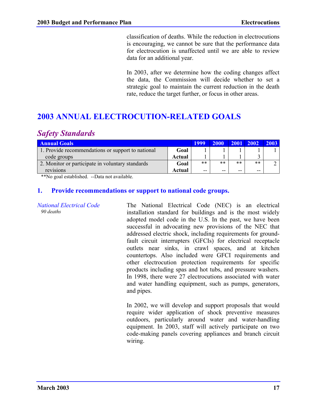classification of deaths. While the reduction in electrocutions is encouraging, we cannot be sure that the performance data for electrocution is unaffected until we are able to review data for an additional year.

In 2003, after we determine how the coding changes affect the data, the Commission will decide whether to set a strategic goal to maintain the current reduction in the death rate, reduce the target further, or focus in other areas.

# **2003 ANNUAL ELECTROCUTION-RELATED GOALS**

# *Safety Standards*

| <b>Annual Goals</b>                               |        |       | 2000  | $\sqrt{2001}$ | $\begin{array}{c} \boxed{2002} \end{array}$ | 2003 |
|---------------------------------------------------|--------|-------|-------|---------------|---------------------------------------------|------|
| 1. Provide recommendations or support to national | Goal   |       |       |               |                                             |      |
| code groups                                       | Actual |       |       |               |                                             |      |
| 2. Monitor or participate in voluntary standards  | Goal   | $***$ | $***$ | $***$         | **                                          |      |
| revisions                                         | Actual | $- -$ | --    | $- -$         | --                                          |      |

\*\*No goal established. --Data not available.

#### **1. Provide recommendations or support to national code groups.**

*National Electrical Code 90 deaths*

The National Electrical Code (NEC) is an electrical installation standard for buildings and is the most widely adopted model code in the U.S. In the past, we have been successful in advocating new provisions of the NEC that addressed electric shock, including requirements for groundfault circuit interrupters (GFCIs) for electrical receptacle outlets near sinks, in crawl spaces, and at kitchen countertops. Also included were GFCI requirements and other electrocution protection requirements for specific products including spas and hot tubs, and pressure washers. In 1998, there were 27 electrocutions associated with water and water handling equipment, such as pumps, generators, and pipes.

In 2002, we will develop and support proposals that would require wider application of shock preventive measures outdoors, particularly around water and water-handling equipment. In 2003, staff will actively participate on two code-making panels covering appliances and branch circuit wiring.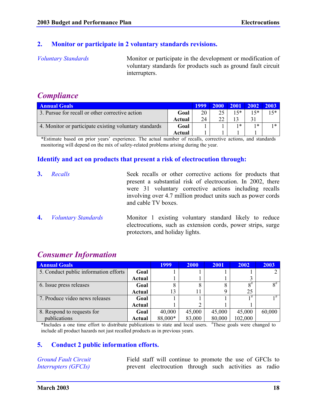### **2. Monitor or participate in 2 voluntary standards revisions.**

*Voluntary Standards* Monitor or participate in the development or modification of voluntary standards for products such as ground fault circuit interrupters.

# *Compliance*

| Annual Goals                                           |        | 1999 | <b>2000</b>   | $\sqrt{2001}$ | 2002  | $-2003$ |
|--------------------------------------------------------|--------|------|---------------|---------------|-------|---------|
| 3. Pursue for recall or other corrective action        | Goal   | 20   | 25            | 15*           | $15*$ | 15*     |
|                                                        | Actual | 24   | $\mathcal{D}$ |               |       |         |
| 4. Monitor or participate existing voluntary standards | Goal   |      |               | $1*$          | 1 米   | $1*$    |
|                                                        | Actual |      |               |               |       |         |

\*Estimate based on prior years' experience. The actual number of recalls, corrective actions, and standards monitoring will depend on the mix of safety-related problems arising during the year.

### **Identify and act on products that present a risk of electrocution through:**

- **3.** *Recalls* Seek recalls or other corrective actions for products that present a substantial risk of electrocution. In 2002, there were 31 voluntary corrective actions including recalls involving over 4.7 million product units such as power cords and cable TV boxes.
- **4.** *Voluntary Standards* Monitor 1 existing voluntary standard likely to reduce electrocutions, such as extension cords, power strips, surge protectors, and holiday lights.

| <b>Annual Goals</b>                   |        | <b>1999</b> | <b>2000</b> | 2001   | 2002     | 2003     |
|---------------------------------------|--------|-------------|-------------|--------|----------|----------|
| 5. Conduct public information efforts | Goal   |             |             |        |          |          |
|                                       | Actual |             |             |        |          |          |
| 6. Issue press releases               | Goal   | 8           | 8           | 8      | $8^{\#}$ | $8^{\#}$ |
|                                       | Actual | 13          |             | 9      | 25       |          |
| 7. Produce video news releases        | Goal   |             |             |        | 1#       |          |
|                                       | Actual |             | 2           |        |          |          |
| 8. Respond to requests for            | Goal   | 40,000      | 45,000      | 45,000 | 45,000   | 60,000   |
| publications                          | Actual | 88,000*     | 83,000      | 80,000 | 102,000  |          |

# *Consumer Information*

\*Includes a one time effort to distribute publications to state and local users. # These goals were changed to include all product hazards not just recalled products as in previous years.

### **5. Conduct 2 public information efforts.**

*Ground Fault Circuit Interrupters (GFCIs)*

Field staff will continue to promote the use of GFCIs to prevent electrocution through such activities as radio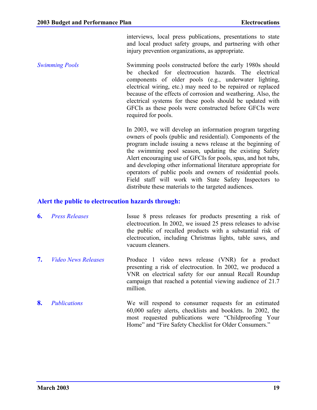interviews, local press publications, presentations to state and local product safety groups, and partnering with other injury prevention organizations, as appropriate.

*Swimming Pools* Swimming pools constructed before the early 1980s should be checked for electrocution hazards. The electrical components of older pools (e.g., underwater lighting, electrical wiring, etc.) may need to be repaired or replaced because of the effects of corrosion and weathering. Also, the electrical systems for these pools should be updated with GFCIs as these pools were constructed before GFCIs were required for pools.

> In 2003, we will develop an information program targeting owners of pools (public and residential). Components of the program include issuing a news release at the beginning of the swimming pool season, updating the existing Safety Alert encouraging use of GFCIs for pools, spas, and hot tubs, and developing other informational literature appropriate for operators of public pools and owners of residential pools. Field staff will work with State Safety Inspectors to distribute these materials to the targeted audiences.

#### **Alert the public to electrocution hazards through:**

- **6.** *Press Releases* Issue 8 press releases for products presenting a risk of electrocution. In 2002, we issued 25 press releases to advise the public of recalled products with a substantial risk of electrocution, including Christmas lights, table saws, and vacuum cleaners.
- **7.** *Video News Releases* Produce 1 video news release (VNR) for a product presenting a risk of electrocution. In 2002, we produced a VNR on electrical safety for our annual Recall Roundup campaign that reached a potential viewing audience of 21.7 million.
- **8.** *Publications* We will respond to consumer requests for an estimated 60,000 safety alerts, checklists and booklets. In 2002, the most requested publications were "Childproofing Your Home" and "Fire Safety Checklist for Older Consumers."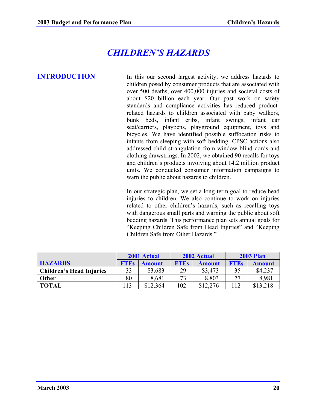# *CHILDREN'S HAZARDS*

**INTRODUCTION** In this our second largest activity, we address hazards to children posed by consumer products that are associated with over 500 deaths, over 400,000 injuries and societal costs of about \$20 billion each year. Our past work on safety standards and compliance activities has reduced productrelated hazards to children associated with baby walkers, bunk beds, infant cribs, infant swings, infant car seat/carriers, playpens, playground equipment, toys and bicycles. We have identified possible suffocation risks to infants from sleeping with soft bedding. CPSC actions also addressed child strangulation from window blind cords and clothing drawstrings. In 2002, we obtained 90 recalls for toys and children's products involving about 14.2 million product units. We conducted consumer information campaigns to warn the public about hazards to children.

> In our strategic plan, we set a long-term goal to reduce head injuries to children. We also continue to work on injuries related to other children's hazards, such as recalling toys with dangerous small parts and warning the public about soft bedding hazards. This performance plan sets annual goals for "Keeping Children Safe from Head Injuries" and "Keeping Children Safe from Other Hazards."

|                                 |             | 2002 Actual<br>2001 Actual |                              |          |             | <b>2003 Plan</b> |
|---------------------------------|-------------|----------------------------|------------------------------|----------|-------------|------------------|
| <b>HAZARDS</b>                  | <b>FTEs</b> | Amount                     | <b>FTEs</b><br><b>Amount</b> |          | <b>FTEs</b> | Amount           |
| <b>Children's Head Injuries</b> | 33          | \$3,683                    | 29                           | \$3,473  | 35          | \$4,237          |
| <b>Other</b>                    | 80          | 8,681                      | 72                           | 8,803    | 77          | 8.981            |
| <b>TOTAL</b>                    | 113         | \$12,364                   | 102                          | \$12,276 | 12          | \$13,218         |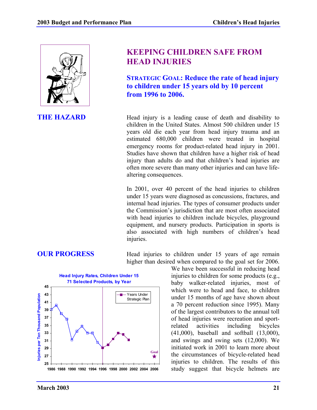

# **KEEPING CHILDREN SAFE FROM HEAD INJURIES**

**STRATEGIC GOAL: Reduce the rate of head injury to children under 15 years old by 10 percent from 1996 to 2006.**

**THE HAZARD** Head injury is a leading cause of death and disability to children in the United States. Almost 500 children under 15 years old die each year from head injury trauma and an estimated 680,000 children were treated in hospital emergency rooms for product-related head injury in 2001. Studies have shown that children have a higher risk of head injury than adults do and that children's head injuries are often more severe than many other injuries and can have lifealtering consequences.

> In 2001, over 40 percent of the head injuries to children under 15 years were diagnosed as concussions, fractures, and internal head injuries. The types of consumer products under the Commission's jurisdiction that are most often associated with head injuries to children include bicycles, playground equipment, and nursery products. Participation in sports is also associated with high numbers of children's head injuries.



**OUR PROGRESS** Head injuries to children under 15 years of age remain higher than desired when compared to the goal set for 2006.

We have been successful in reducing head injuries to children for some products (e.g., baby walker-related injuries, most of which were to head and face, to children under 15 months of age have shown about a 70 percent reduction since 1995). Many of the largest contributors to the annual toll of head injuries were recreation and sportrelated activities including bicycles (41,000), baseball and softball (13,000), and swings and swing sets (12,000). We initiated work in 2001 to learn more about the circumstances of bicycle-related head injuries to children. The results of this study suggest that bicycle helmets are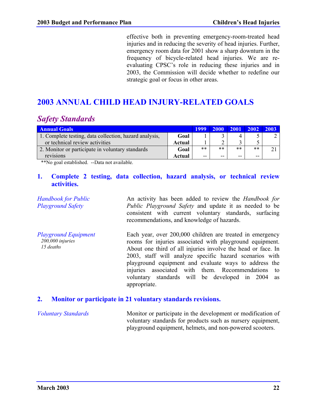effective both in preventing emergency-room-treated head injuries and in reducing the severity of head injuries. Further, emergency room data for 2001 show a sharp downturn in the frequency of bicycle-related head injuries. We are reevaluating CPSC's role in reducing these injuries and in 2003, the Commission will decide whether to redefine our strategic goal or focus in other areas.

# **2003 ANNUAL CHILD HEAD INJURY-RELATED GOALS**

# *Safety Standards*

| <b>Annual Goals</b>                                    |        |       | 2000  | $\begin{array}{c} \boxed{2001} \end{array}$ | $2002$ |  |
|--------------------------------------------------------|--------|-------|-------|---------------------------------------------|--------|--|
| 1. Complete testing, data collection, hazard analysis, | Goal   |       |       |                                             |        |  |
| or technical review activities                         | Actual |       |       |                                             |        |  |
| 2. Monitor or participate in voluntary standards       | Goal   | **    | $***$ | $***$                                       | **     |  |
| revisions                                              | Actual | $- -$ | --    | --                                          | $- -$  |  |

\*\*No goal established. --Data not available.

### **1. Complete 2 testing, data collection, hazard analysis, or technical review activities.**

| <b>Handbook for Public</b><br><b>Playground Safety</b>         | An activity has been added to review the <i>Handbook for</i><br><i>Public Playground Safety</i> and update it as needed to be<br>consistent with current voluntary standards, surfacing<br>recommendations, and knowledge of hazards.                                                                                                                                                                                              |
|----------------------------------------------------------------|------------------------------------------------------------------------------------------------------------------------------------------------------------------------------------------------------------------------------------------------------------------------------------------------------------------------------------------------------------------------------------------------------------------------------------|
| <b>Playground Equipment</b><br>$200,000$ injuries<br>15 deaths | Each year, over 200,000 children are treated in emergency<br>rooms for injuries associated with playground equipment.<br>About one third of all injuries involve the head or face. In<br>2003, staff will analyze specific hazard scenarios with<br>playground equipment and evaluate ways to address the<br>injuries associated with them. Recommendations to<br>voluntary standards will be developed in 2004 as<br>appropriate. |

#### **2. Monitor or participate in 21 voluntary standards revisions.**

*Voluntary Standards* Monitor or participate in the development or modification of voluntary standards for products such as nursery equipment, playground equipment, helmets, and non-powered scooters.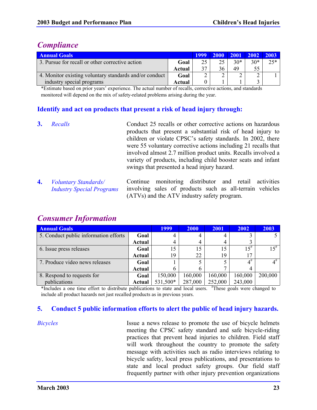# *Compliance*

| <b>Annual Goals</b>                                    |        |    |    |       | 2000 2001 2002 2003 |       |
|--------------------------------------------------------|--------|----|----|-------|---------------------|-------|
| 3. Pursue for recall or other corrective action        | Goal   | 25 | 25 | $30*$ | $30*$               | $25*$ |
|                                                        | Actual | 37 | 36 | 49    | 55                  |       |
| 4. Monitor existing voluntary standards and/or conduct | Goal   |    |    |       |                     |       |
| industry special programs                              | Actual |    |    |       |                     |       |

\*Estimate based on prior years' experience. The actual number of recalls, corrective actions, and standards monitored will depend on the mix of safety-related problems arising during the year.

### **Identify and act on products that present a risk of head injury through:**

- **3.** *Recalls* Conduct 25 recalls or other corrective actions on hazardous products that present a substantial risk of head injury to children or violate CPSC's safety standards. In 2002, there were 55 voluntary corrective actions including 21 recalls that involved almost 2.7 million product units. Recalls involved a variety of products, including child booster seats and infant swings that presented a head injury hazard.
- **4.** *Voluntary Standards/ Industry Special Programs* Continue monitoring distributor and retail activities involving sales of products such as all-terrain vehicles (ATVs) and the ATV industry safety program.

| <b>Annual Goals</b>                   |        | <b>1999</b> | <b>2000</b> | 2001    | 2002     | 2003      |
|---------------------------------------|--------|-------------|-------------|---------|----------|-----------|
| 5. Conduct public information efforts | Goal   | 4           | 4           |         |          |           |
|                                       | Actual | 4           | 4           | 4       |          |           |
| 6. Issue press releases               | Goal   | 15          | 15          | 15      | $15^{#}$ | $15^{\#}$ |
|                                       | Actual | 19          | 22          | 19      | 17       |           |
| 7. Produce video news releases        | Goal   |             |             |         | $4^{\#}$ | $4^\#$    |
|                                       | Actual | 6           | b           |         |          |           |
| 8. Respond to requests for            | Goal   | 150,000     | 160,000     | 160,000 | 160,000  | 200,000   |
| publications                          | Actual | 531,500*    | 287,000     | 252,000 | 243,000  |           |

# *Consumer Information*

\*Includes a one time effort to distribute publications to state and local users. # These goals were changed to include all product hazards not just recalled products as in previous years.

### **5. Conduct 5 public information efforts to alert the public of head injury hazards.**

*Bicycles* Issue a news release to promote the use of bicycle helmets meeting the CPSC safety standard and safe bicycle-riding practices that prevent head injuries to children. Field staff will work throughout the country to promote the safety message with activities such as radio interviews relating to bicycle safety, local press publications, and presentations to state and local product safety groups. Our field staff frequently partner with other injury prevention organizations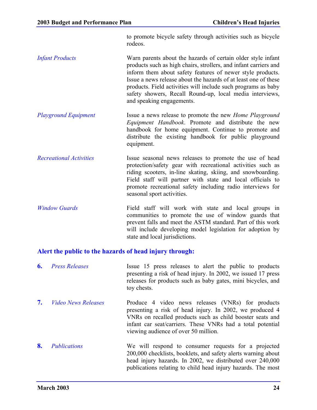to promote bicycle safety through activities such as bicycle rodeos.

- *Infant Products* Warn parents about the hazards of certain older style infant products such as high chairs, strollers, and infant carriers and inform them about safety features of newer style products. Issue a news release about the hazards of at least one of these products. Field activities will include such programs as baby safety showers, Recall Round-up, local media interviews, and speaking engagements.
- *Playground Equipment* Issue a news release to promote the new *Home Playground Equipment Handbook*. Promote and distribute the new handbook for home equipment. Continue to promote and distribute the existing handbook for public playground equipment.
- *Recreational Activities* Issue seasonal news releases to promote the use of head protection/safety gear with recreational activities such as riding scooters, in-line skating, skiing, and snowboarding. Field staff will partner with state and local officials to promote recreational safety including radio interviews for seasonal sport activities.
- *Window Guards* Field staff will work with state and local groups in communities to promote the use of window guards that prevent falls and meet the ASTM standard. Part of this work will include developing model legislation for adoption by state and local jurisdictions.

### **Alert the public to the hazards of head injury through:**

**6.** *Press Releases* Issue 15 press releases to alert the public to products presenting a risk of head injury. In 2002, we issued 17 press releases for products such as baby gates, mini bicycles, and toy chests. **7.** *Video News Releases* Produce 4 video news releases (VNRs) for products presenting a risk of head injury. In 2002, we produced 4 VNRs on recalled products such as child booster seats and infant car seat/carriers. These VNRs had a total potential viewing audience of over 50 million. **8.** *Publications* We will respond to consumer requests for a projected 200,000 checklists, booklets, and safety alerts warning about head injury hazards. In 2002, we distributed over 240,000 publications relating to child head injury hazards. The most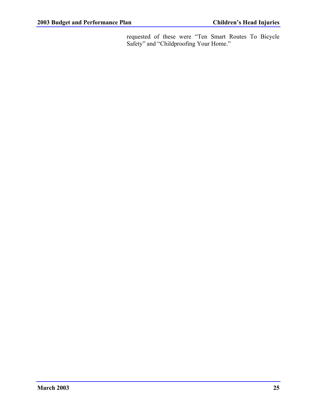requested of these were "Ten Smart Routes To Bicycle Safety" and "Childproofing Your Home."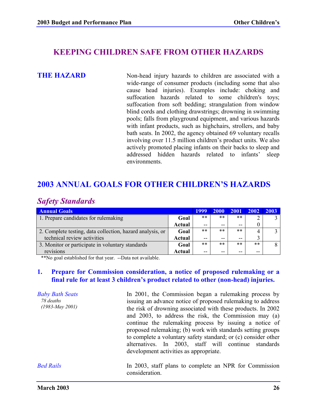## **KEEPING CHILDREN SAFE FROM OTHER HAZARDS**

**THE HAZARD** Non-head injury hazards to children are associated with a wide-range of consumer products (including some that also cause head injuries). Examples include: choking and suffocation hazards related to some children's toys; suffocation from soft bedding; strangulation from window blind cords and clothing drawstrings; drowning in swimming pools; falls from playground equipment, and various hazards with infant products, such as highchairs, strollers, and baby bath seats. In 2002, the agency obtained 69 voluntary recalls involving over 11.5 million children's product units. We also actively promoted placing infants on their backs to sleep and addressed hidden hazards related to infants' sleep environments.

# **2003 ANNUAL GOALS FOR OTHER CHILDREN'S HAZARDS**

# *Safety Standards*

| <b>Annual Goals</b>                                       |        | 1999  | 2000  | <b>2001</b> | <b>2002</b> | 2003 |
|-----------------------------------------------------------|--------|-------|-------|-------------|-------------|------|
| 1. Prepare candidates for rulemaking                      | Goal   | $***$ | $***$ | **          |             |      |
|                                                           | Actual | $- -$ | --    | $-$         |             |      |
| 2. Complete testing, data collection, hazard analysis, or | Goal   | $***$ | $***$ | **          |             |      |
| technical review activities                               | Actual | $-$   | $ -$  | $-$         |             |      |
| 3. Monitor or participate in voluntary standards          | Goal   | $***$ | $***$ | **          | $***$       |      |
| revisions                                                 | Actual | $- -$ |       | --          | --          |      |

\*\*No goal established for that year. --Data not available.

#### **1. Prepare for Commission consideration, a notice of proposed rulemaking or a final rule for at least 3 children's product related to other (non-head) injuries.**

*Baby Bath Seats 78 deaths (1983-May 2001)* In 2001, the Commission began a rulemaking process by issuing an advance notice of proposed rulemaking to address the risk of drowning associated with these products. In 2002 and 2003, to address the risk, the Commission may (a) continue the rulemaking process by issuing a notice of proposed rulemaking; (b) work with standards setting groups to complete a voluntary safety standard; or (c) consider other alternatives. In 2003, staff will continue standards development activities as appropriate. *Bed Rails* **In 2003**, staff plans to complete an NPR for Commission consideration.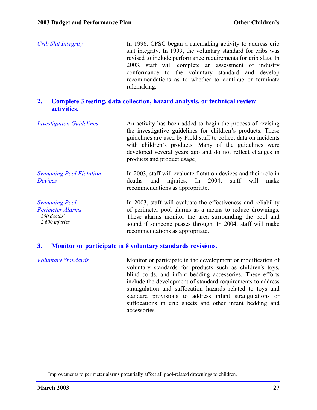*Crib Slat Integrity* In 1996, CPSC began a rulemaking activity to address crib slat integrity. In 1999, the voluntary standard for cribs was revised to include performance requirements for crib slats. In 2003, staff will complete an assessment of industry conformance to the voluntary standard and develop recommendations as to whether to continue or terminate rulemaking.

#### **2. Complete 3 testing, data collection, hazard analysis, or technical review activities.**

| <b>Investigation Guidelines</b>                  | An activity has been added to begin the process of revising<br>the investigative guidelines for children's products. These<br>guidelines are used by Field staff to collect data on incidents<br>with children's products. Many of the guidelines were<br>developed several years ago and do not reflect changes in<br>products and product usage. |
|--------------------------------------------------|----------------------------------------------------------------------------------------------------------------------------------------------------------------------------------------------------------------------------------------------------------------------------------------------------------------------------------------------------|
| <b>Swimming Pool Flotation</b><br><b>Devices</b> | In 2003, staff will evaluate flotation devices and their role in<br>injuries. In 2004,<br>deaths<br>staff will<br>and<br>make<br>recommendations as appropriate.                                                                                                                                                                                   |

*Swimming Pool Perimeter Alarms*  $350$  deaths<sup>5</sup> *2,600 injuries* In 2003, staff will evaluate the effectiveness and reliability of perimeter pool alarms as a means to reduce drownings. These alarms monitor the area surrounding the pool and sound if someone passes through. In 2004, staff will make recommendations as appropriate.

#### **3. Monitor or participate in 8 voluntary standards revisions.**

*Voluntary Standards* Monitor or participate in the development or modification of voluntary standards for products such as children's toys, blind cords, and infant bedding accessories. These efforts include the development of standard requirements to address strangulation and suffocation hazards related to toys and standard provisions to address infant strangulations or suffocations in crib sheets and other infant bedding and accessories.

<sup>&</sup>lt;sup>5</sup>Improvements to perimeter alarms potentially affect all pool-related drownings to children.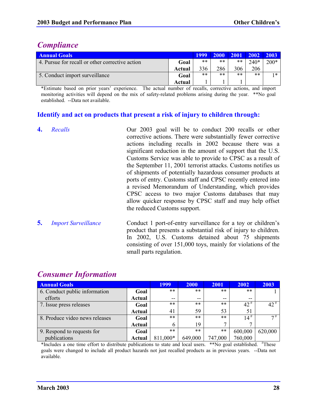# *Compliance*

| <b>Annual Goals</b>                             |        | 1999 | 2000  | <b>2001</b> | $2002 \ 2003$ |        |
|-------------------------------------------------|--------|------|-------|-------------|---------------|--------|
| 4. Pursue for recall or other corrective action | Goal   | **   | $***$ | **          | $240*$        | $200*$ |
|                                                 | Actual | 336  | 286   | 306         | 206           |        |
| 5. Conduct import surveillance                  | Goal   | **   | $***$ | $***$       | **            | $1*$   |
|                                                 | Actual |      |       |             |               |        |

\*Estimate based on prior years' experience. The actual number of recalls, corrective actions, and import monitoring activities will depend on the mix of safety-related problems arising during the year. \*\*No goal established. --Data not available.

### **Identify and act on products that present a risk of injury to children through:**

|    | Recalls                    | Our 2003 goal will be to conduct 200 recalls or other<br>corrective actions. There were substantially fewer corrective<br>actions including recalls in 2002 because there was a<br>significant reduction in the amount of support that the U.S.<br>Customs Service was able to provide to CPSC as a result of<br>the September 11, 2001 terrorist attacks. Customs notifies us<br>of shipments of potentially hazardous consumer products at<br>ports of entry. Customs staff and CPSC recently entered into<br>a revised Memorandum of Understanding, which provides<br>CPSC access to two major Customs databases that may<br>allow quicker response by CPSC staff and may help offset<br>the reduced Customs support. |
|----|----------------------------|--------------------------------------------------------------------------------------------------------------------------------------------------------------------------------------------------------------------------------------------------------------------------------------------------------------------------------------------------------------------------------------------------------------------------------------------------------------------------------------------------------------------------------------------------------------------------------------------------------------------------------------------------------------------------------------------------------------------------|
| 5. | <b>Import Surveillance</b> | Conduct 1 port-of-entry surveillance for a toy or children's                                                                                                                                                                                                                                                                                                                                                                                                                                                                                                                                                                                                                                                             |

product that presents a substantial risk of injury to children. In 2002, U.S. Customs detained about 75 shipments consisting of over 151,000 toys, mainly for violations of the small parts regulation.

| <b>Annual Goals</b>            |               | 1999     | <b>2000</b> | 2001    | 2002                 | 2003      |
|--------------------------------|---------------|----------|-------------|---------|----------------------|-----------|
| 6. Conduct public information  | Goal          | $***$    | $***$       | $***$   | $***$                |           |
| efforts                        | <b>Actual</b> | $- -$    | $- -$       | $- -$   | $- -$                |           |
| 7. Issue press releases        | Goal          | $***$    | $***$       | $***$   | $42^{\frac{\pi}{2}}$ | $42^{\#}$ |
|                                | <b>Actual</b> | 41       | 59          | 53      |                      |           |
| 8. Produce video news releases | Goal          | $***$    | $***$       | $***$   | $14$ <sup>#</sup>    | 7#        |
|                                | Actual        | 6        | 19          |         |                      |           |
| 9. Respond to requests for     | Goal          | $***$    | $***$       | **      | 600,000              | 620,000   |
| publications                   | Actual        | 811,000* | 649,000     | 747,000 | 760,000              |           |

# *Consumer Information*

\*Includes a one time effort to distribute publications to state and local users. \*\*No goal established. #These goals were changed to include all product hazards not just recalled products as in previous years. --Data not available.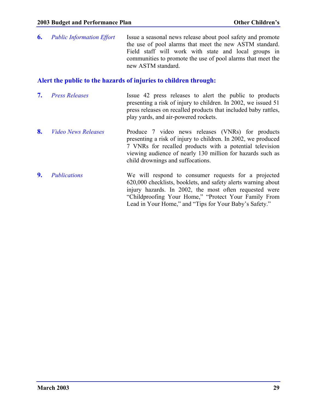**6.** *Public Information Effort* Issue a seasonal news release about pool safety and promote the use of pool alarms that meet the new ASTM standard. Field staff will work with state and local groups in communities to promote the use of pool alarms that meet the new ASTM standard.

#### **Alert the public to the hazards of injuries to children through:**

- **7.** *Press Releases* Issue 42 press releases to alert the public to products presenting a risk of injury to children. In 2002, we issued 51 press releases on recalled products that included baby rattles, play yards, and air-powered rockets.
- 8. *Video News Releases* Produce 7 video news releases (VNRs) for products presenting a risk of injury to children. In 2002, we produced 7 VNRs for recalled products with a potential television viewing audience of nearly 130 million for hazards such as child drownings and suffocations.
- **9.** *Publications* We will respond to consumer requests for a projected 620,000 checklists, booklets, and safety alerts warning about injury hazards. In 2002, the most often requested were "Childproofing Your Home," "Protect Your Family From Lead in Your Home," and "Tips for Your Baby's Safety."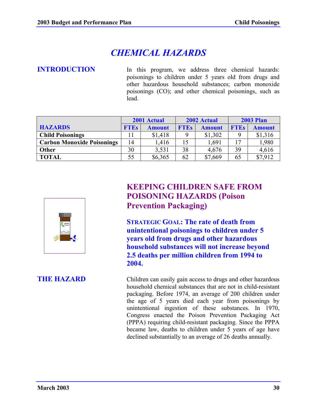# *CHEMICAL HAZARDS*

**INTRODUCTION** In this program, we address three chemical hazards: poisonings to children under 5 years old from drugs and other hazardous household substances; carbon monoxide poisonings (CO); and other chemical poisonings, such as lead.

|                                   |             | 2001 Actual   |             | 2002 Actual   | <b>2003 Plan</b> |               |  |
|-----------------------------------|-------------|---------------|-------------|---------------|------------------|---------------|--|
| <b>HAZARDS</b>                    | <b>FTEs</b> | <b>Amount</b> | <b>FTEs</b> | <b>Amount</b> | <b>FTEs</b>      | <b>Amount</b> |  |
| <b>Child Poisonings</b>           |             | \$1,418       | 9           | \$1,302       | $\mathbf Q$      | \$1,316       |  |
| <b>Carbon Monoxide Poisonings</b> | 14          | 1,416         | 15          | 1,691         | 17               | 1,980         |  |
| Other                             | 30          | 3,531         | 38          | 4,676         | 39               | 4,616         |  |
| <b>TOTAL</b>                      | 55          | \$6,365       | 62          | \$7,669       | 65               | \$7,912       |  |



# **KEEPING CHILDREN SAFE FROM POISONING HAZARDS (Poison Prevention Packaging)**

**STRATEGIC GOAL: The rate of death from unintentional poisonings to children under 5 years old from drugs and other hazardous household substances will not increase beyond 2.5 deaths per million children from 1994 to 2004.**

**THE HAZARD** Children can easily gain access to drugs and other hazardous household chemical substances that are not in child-resistant packaging. Before 1974, an average of 200 children under the age of 5 years died each year from poisonings by unintentional ingestion of these substances. In 1970, Congress enacted the Poison Prevention Packaging Act (PPPA) requiring child-resistant packaging. Since the PPPA became law, deaths to children under 5 years of age have declined substantially to an average of 26 deaths annually.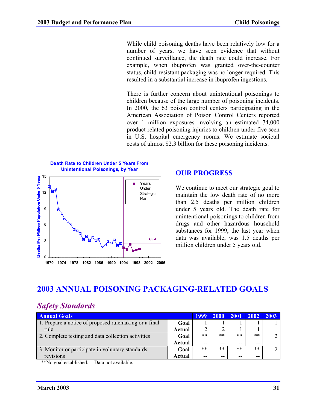While child poisoning deaths have been relatively low for a number of years, we have seen evidence that without continued surveillance, the death rate could increase. For example, when ibuprofen was granted over-the-counter status, child-resistant packaging was no longer required. This resulted in a substantial increase in ibuprofen ingestions.

There is further concern about unintentional poisonings to children because of the large number of poisoning incidents. In 2000, the 63 poison control centers participating in the American Association of Poison Control Centers reported over 1 million exposures involving an estimated 74,000 product related poisoning injuries to children under five seen in U.S. hospital emergency rooms. We estimate societal costs of almost \$2.3 billion for these poisoning incidents.



### **OUR PROGRESS**

We continue to meet our strategic goal to maintain the low death rate of no more than 2.5 deaths per million children under 5 years old. The death rate for unintentional poisonings to children from drugs and other hazardous household substances for 1999, the last year when data was available, was 1.5 deaths per million children under 5 years old.

# **2003 ANNUAL POISONING PACKAGING-RELATED GOALS**

# *Safety Standards*

| <b>Annual Goals</b>                                   |        |       | 2000  | 2001  | 2002  | 2003 |
|-------------------------------------------------------|--------|-------|-------|-------|-------|------|
| 1. Prepare a notice of proposed rulemaking or a final | Goal   |       |       |       |       |      |
| rule                                                  | Actual |       |       |       |       |      |
| 2. Complete testing and data collection activities    | Goal   | $***$ | $***$ | **    | $***$ |      |
|                                                       | Actual | --    | --    | --    | $- -$ |      |
| 3. Monitor or participate in voluntary standards      | Goal   | $***$ | $***$ | $***$ | **    |      |
| revisions                                             | Actual | $- -$ | --    | --    | --    |      |

\*\*No goal established. --Data not available.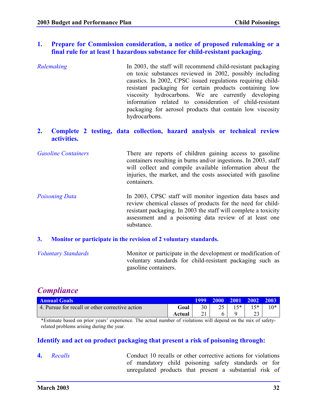#### **1. Prepare for Commission consideration, a notice of proposed rulemaking or a final rule for at least 1 hazardous substance for child-resistant packaging.**

- *Rulemaking* The 2003, the staff will recommend child-resistant packaging on toxic substances reviewed in 2002, possibly including caustics. In 2002, CPSC issued regulations requiring childresistant packaging for certain products containing low viscosity hydrocarbons. We are currently developing information related to consideration of child-resistant packaging for aerosol products that contain low viscosity hydrocarbons.
- **2. Complete 2 testing, data collection, hazard analysis or technical review activities.**
- *Gasoline Containers* There are reports of children gaining access to gasoline containers resulting in burns and/or ingestions. In 2003, staff will collect and compile available information about the injuries, the market, and the costs associated with gasoline containers.
- *Poisoning Data* In 2003, CPSC staff will monitor ingestion data bases and review chemical classes of products for the need for childresistant packaging. In 2003 the staff will complete a toxicity assessment and a poisoning data review of at least one substance.

#### **3. Monitor or participate in the revision of 2 voluntary standards.**

| <b>Voluntary Standards</b> | Monitor or participate in the development or modification of |
|----------------------------|--------------------------------------------------------------|
|                            | voluntary standards for child-resistant packaging such as    |
|                            | gasoline containers.                                         |

# *Compliance*

| <b>Annual Goals</b>                             |        | 1999 |      | 2000 2001 2002 2003 |  |
|-------------------------------------------------|--------|------|------|---------------------|--|
| 4. Pursue for recall or other corrective action | Goal   | 30   | $5*$ | 5*                  |  |
|                                                 | Actual |      |      | ت ک                 |  |

\*Estimate based on prior years' experience. The actual number of violations will depend on the mix of safetyrelated problems arising during the year.

#### **Identify and act on product packaging that present a risk of poisoning through:**

**4.** *Recalls* Conduct 10 recalls or other corrective actions for violations of mandatory child poisoning safety standards or for unregulated products that present a substantial risk of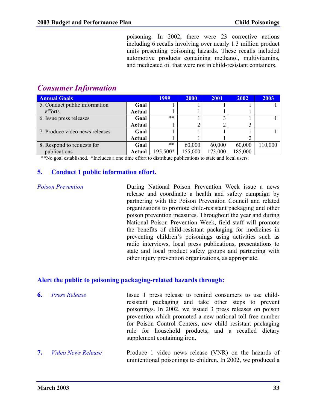poisoning. In 2002, there were 23 corrective actions including 6 recalls involving over nearly 1.3 million product units presenting poisoning hazards. These recalls included automotive products containing methanol, multivitamins, and medicated oil that were not in child-resistant containers.

# *Consumer Information*

| <b>Annual Goals</b>            |               | 1999     | <b>2000</b> | 2001    | 2002    | 2003    |
|--------------------------------|---------------|----------|-------------|---------|---------|---------|
| 5. Conduct public information  | Goal          |          |             |         |         |         |
| efforts                        | Actual        |          |             |         |         |         |
| 6. Issue press releases        | Goal          | $***$    |             |         |         |         |
|                                | <b>Actual</b> |          |             |         |         |         |
| 7. Produce video news releases | Goal          |          |             |         |         |         |
|                                | <b>Actual</b> |          |             |         |         |         |
| 8. Respond to requests for     | Goal          | **       | 60,000      | 60,000  | 60,000  | 110,000 |
| publications                   | Actual        | 195,500* | 155,000     | 173,000 | 185,000 |         |

\*\*No goal established. \*Includes a one time effort to distribute publications to state and local users.

#### **5. Conduct 1 public information effort.**

*Poison Prevention* During National Poison Prevention Week issue a news release and coordinate a health and safety campaign by partnering with the Poison Prevention Council and related organizations to promote child-resistant packaging and other poison prevention measures. Throughout the year and during National Poison Prevention Week, field staff will promote the benefits of child-resistant packaging for medicines in preventing children's poisonings using activities such as radio interviews, local press publications, presentations to state and local product safety groups and partnering with other injury prevention organizations, as appropriate.

#### **Alert the public to poisoning packaging-related hazards through:**

- **6.** *Press Release* Issue 1 press release to remind consumers to use childresistant packaging and take other steps to prevent poisonings. In 2002, we issued 3 press releases on poison prevention which promoted a new national toll free number for Poison Control Centers, new child resistant packaging rule for household products, and a recalled dietary supplement containing iron.
- **7.** *Video News Release* Produce 1 video news release (VNR) on the hazards of unintentional poisonings to children. In 2002, we produced a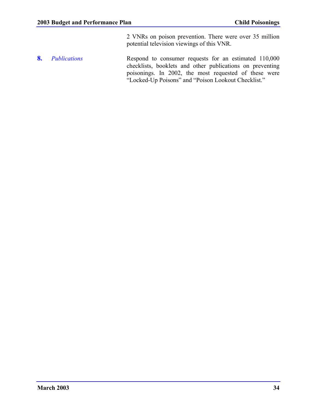2 VNRs on poison prevention. There were over 35 million potential television viewings of this VNR.

**8.** *Publications* Respond to consumer requests for an estimated 110,000 checklists, booklets and other publications on preventing poisonings. In 2002, the most requested of these were "Locked-Up Poisons" and "Poison Lookout Checklist."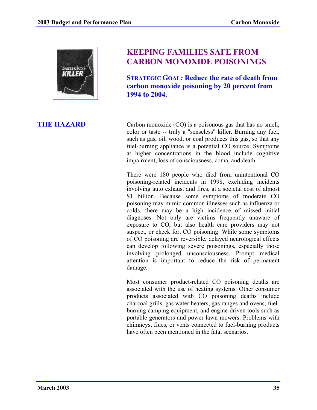

## **KEEPING FAMILIES SAFE FROM CARBON MONOXIDE POISONINGS**

**STRATEGIC GOAL***:* **Reduce the rate of death from carbon monoxide poisoning by 20 percent from 1994 to 2004.**

**THE HAZARD** Carbon monoxide (CO) is a poisonous gas that has no smell, color or taste -- truly a "senseless" killer. Burning any fuel, such as gas, oil, wood, or coal produces this gas, so that any fuel-burning appliance is a potential CO source. Symptoms at higher concentrations in the blood include cognitive impairment, loss of consciousness, coma, and death.

> There were 180 people who died from unintentional CO poisoning-related incidents in 1998, excluding incidents involving auto exhaust and fires, at a societal cost of almost \$1 billion. Because some symptoms of moderate CO poisoning may mimic common illnesses such as influenza or colds, there may be a high incidence of missed initial diagnoses. Not only are victims frequently unaware of exposure to CO, but also health care providers may not suspect, or check for, CO poisoning. While some symptoms of CO poisoning are reversible, delayed neurological effects can develop following severe poisonings, especially those involving prolonged unconsciousness. Prompt medical attention is important to reduce the risk of permanent damage.

> Most consumer product-related CO poisoning deaths are associated with the use of heating systems. Other consumer products associated with CO poisoning deaths include charcoal grills, gas water heaters, gas ranges and ovens, fuelburning camping equipment, and engine-driven tools such as portable generators and power lawn mowers. Problems with chimneys, flues, or vents connected to fuel-burning products have often been mentioned in the fatal scenarios.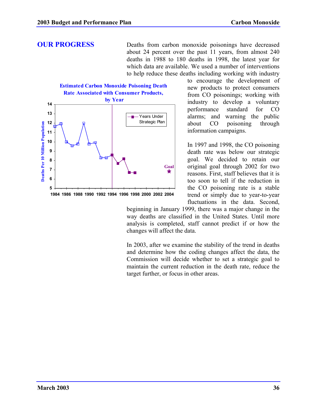**OUR PROGRESS** Deaths from carbon monoxide poisonings have decreased about 24 percent over the past 11 years, from almost 240 deaths in 1988 to 180 deaths in 1998, the latest year for which data are available. We used a number of interventions to help reduce these deaths including working with industry



to encourage the development of new products to protect consumers from CO poisonings; working with industry to develop a voluntary performance standard for CO alarms; and warning the public about CO poisoning through information campaigns.

In 1997 and 1998, the CO poisoning death rate was below our strategic goal. We decided to retain our original goal through 2002 for two reasons. First, staff believes that it is too soon to tell if the reduction in the CO poisoning rate is a stable trend or simply due to year-to-year fluctuations in the data. Second,

beginning in January 1999, there was a major change in the way deaths are classified in the United States. Until more analysis is completed, staff cannot predict if or how the changes will affect the data.

In 2003, after we examine the stability of the trend in deaths and determine how the coding changes affect the data, the Commission will decide whether to set a strategic goal to maintain the current reduction in the death rate, reduce the target further, or focus in other areas.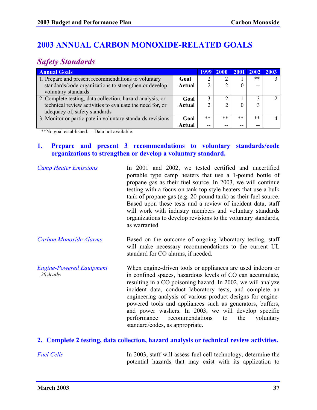# **2003 ANNUAL CARBON MONOXIDE-RELATED GOALS**

# *Safety Standards*

| <b>Annual Goals</b>                                        |               | 1999  | <b>2000</b> |       | 2001 2002 | 2003 |
|------------------------------------------------------------|---------------|-------|-------------|-------|-----------|------|
| 1. Prepare and present recommendations to voluntary        | Goal          |       |             |       | $***$     |      |
| standards/code organizations to strengthen or develop      | <b>Actual</b> |       | ◠           |       | --        |      |
| voluntary standards                                        |               |       |             |       |           |      |
| 2. Complete testing, data collection, hazard analysis, or  | Goal          |       | ◠           |       |           |      |
| technical review activities to evaluate the need for, or   | Actual        |       |             |       |           |      |
| adequacy of, safety standards                              |               |       |             |       |           |      |
| 3. Monitor or participate in voluntary standards revisions | Goal          | $***$ | $***$       | $***$ | $***$     |      |
|                                                            | Actual        | --    | $- -$       |       | --        |      |

\*\*No goal established. --Data not available.

### **1. Prepare and present 3 recommendations to voluntary standards/code organizations to strengthen or develop a voluntary standard.**

| <b>Camp Heater Emissions</b>                 | In 2001 and 2002, we tested certified and uncertified<br>portable type camp heaters that use a 1-pound bottle of<br>propane gas as their fuel source. In 2003, we will continue<br>testing with a focus on tank-top style heaters that use a bulk<br>tank of propane gas (e.g. 20-pound tank) as their fuel source.<br>Based upon these tests and a review of incident data, staff<br>will work with industry members and voluntary standards<br>organizations to develop revisions to the voluntary standards,<br>as warranted.        |  |  |  |  |  |
|----------------------------------------------|-----------------------------------------------------------------------------------------------------------------------------------------------------------------------------------------------------------------------------------------------------------------------------------------------------------------------------------------------------------------------------------------------------------------------------------------------------------------------------------------------------------------------------------------|--|--|--|--|--|
| <b>Carbon Monoxide Alarms</b>                | Based on the outcome of ongoing laboratory testing, staff<br>will make necessary recommendations to the current UL<br>standard for CO alarms, if needed.                                                                                                                                                                                                                                                                                                                                                                                |  |  |  |  |  |
| <b>Engine-Powered Equipment</b><br>20 deaths | When engine-driven tools or appliances are used indoors or<br>in confined spaces, hazardous levels of CO can accumulate,<br>resulting in a CO poisoning hazard. In 2002, we will analyze<br>incident data, conduct laboratory tests, and complete an<br>engineering analysis of various product designs for engine-<br>powered tools and appliances such as generators, buffers,<br>and power washers. In 2003, we will develop specific<br>recommendations<br>the<br>performance<br>voluntary<br>to<br>standard/codes, as appropriate. |  |  |  |  |  |

### **2. Complete 2 testing, data collection, hazard analysis or technical review activities.**

*Fuel Cells* In 2003, staff will assess fuel cell technology, determine the potential hazards that may exist with its application to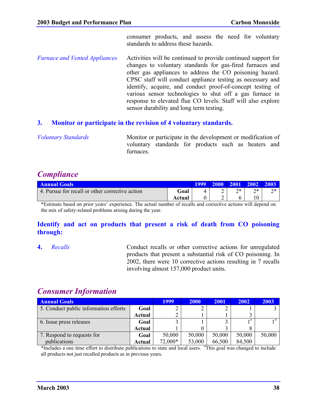consumer products, and assess the need for voluntary standards to address these hazards.

*Furnace and Vented Appliances* Activities will be continued to provide continued support for changes to voluntary standards for gas-fired furnaces and other gas appliances to address the CO poisoning hazard. CPSC staff will conduct appliance testing as necessary and identify, acquire, and conduct proof-of-concept testing of various sensor technologies to shut off a gas furnace in response to elevated flue CO levels. Staff will also explore sensor durability and long term testing.

### **3. Monitor or participate in the revision of 4 voluntary standards.**

*Voluntary Standards* Monitor or participate in the development or modification of voluntary standards for products such as heaters and furnaces.

### *Compliance*

| <b>Annual Goals</b>                             |        | 1999 | -2000 | <b>2001</b> |         | -2003    |
|-------------------------------------------------|--------|------|-------|-------------|---------|----------|
| 4. Pursue for recall or other corrective action | Goal   |      |       | つぉ<br>∠     | つ*<br>∠ | ግ *<br>∼ |
|                                                 | Actual |      | ∸     |             |         |          |

\*Estimate based on prior years' experience. The actual number of recalls and corrective actions will depend on the mix of safety-related problems arising during the year.

### **Identify and act on products that present a risk of death from CO poisoning through:**

**4.** *Recalls* Conduct recalls or other corrective actions for unregulated products that present a substantial risk of CO poisoning. In 2002, there were 10 corrective actions resulting in 7 recalls involving almost 157,000 product units.

### *Consumer Information*

| <b>Annual Goals</b>                   |               | 1999    | <b>2000</b> | 2001   | 2002   | 2003   |
|---------------------------------------|---------------|---------|-------------|--------|--------|--------|
| 5. Conduct public information efforts | Goal          |         |             |        |        |        |
|                                       | <b>Actual</b> |         |             |        |        |        |
| 6. Issue press releases               | Goal          |         |             |        | 1#     |        |
|                                       | Actual        |         |             |        |        |        |
| 7. Respond to requests for            | Goal          | 50,000  | 50,000      | 50,000 | 50,000 | 50,000 |
| publications                          | Actual        | 72,000* | 53,000      | 66,500 | 84,500 |        |

\*Includes a one time effort to distribute publications to state and local users. # This goal was changed to include all products not just recalled products as in previous years.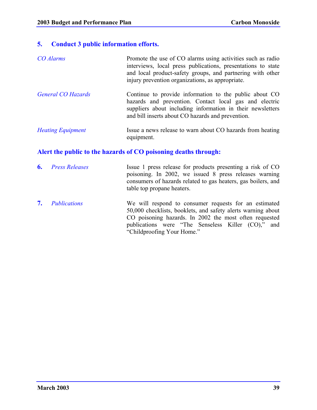### **5. Conduct 3 public information efforts.**

| <b>CO</b> Alarms          | Promote the use of CO alarms using activities such as radio<br>interviews, local press publications, presentations to state<br>and local product-safety groups, and partnering with other<br>injury prevention organizations, as appropriate. |
|---------------------------|-----------------------------------------------------------------------------------------------------------------------------------------------------------------------------------------------------------------------------------------------|
| <b>General CO Hazards</b> | Continue to provide information to the public about CO<br>hazards and prevention. Contact local gas and electric<br>suppliers about including information in their newsletters<br>and bill inserts about CO hazards and prevention.           |

### *Heating Equipment* Issue a news release to warn about CO hazards from heating equipment.

### **Alert the public to the hazards of CO poisoning deaths through:**

- **6.** *Press Releases* Issue 1 press release for products presenting a risk of CO poisoning. In 2002, we issued 8 press releases warning consumers of hazards related to gas heaters, gas boilers, and table top propane heaters.
- **7.** *Publications* We will respond to consumer requests for an estimated 50,000 checklists, booklets, and safety alerts warning about CO poisoning hazards. In 2002 the most often requested publications were "The Senseless Killer (CO)," and "Childproofing Your Home."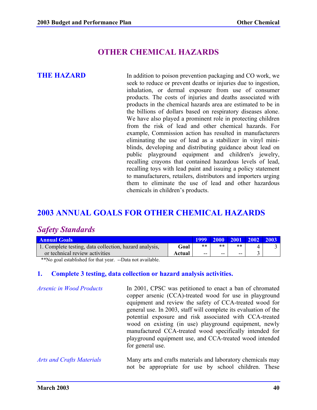## **OTHER CHEMICAL HAZARDS**

**THE HAZARD** In addition to poison prevention packaging and CO work, we seek to reduce or prevent deaths or injuries due to ingestion, inhalation, or dermal exposure from use of consumer products. The costs of injuries and deaths associated with products in the chemical hazards area are estimated to be in the billions of dollars based on respiratory diseases alone. We have also played a prominent role in protecting children from the risk of lead and other chemical hazards. For example, Commission action has resulted in manufacturers eliminating the use of lead as a stabilizer in vinyl miniblinds, developing and distributing guidance about lead on public playground equipment and children's jewelry, recalling crayons that contained hazardous levels of lead, recalling toys with lead paint and issuing a policy statement to manufacturers, retailers, distributors and importers urging them to eliminate the use of lead and other hazardous chemicals in children's products.

## **2003 ANNUAL GOALS FOR OTHER CHEMICAL HAZARDS**

### *Safety Standards*

| <b>Annual Goals</b>                                    |        |     | 1999 2000 2001 |       | $\vert$ 2002 $\vert$ | $\vert$ 2003 |
|--------------------------------------------------------|--------|-----|----------------|-------|----------------------|--------------|
| 1. Complete testing, data collection, hazard analysis, | Goal   | **  | **             | $***$ |                      |              |
| or technical review activities                         | Actual | $-$ | --             | $ -$  |                      |              |

\*\*No goal established for that year. --Data not available.

### **1. Complete 3 testing, data collection or hazard analysis activities.**

| <b>Arsenic in Wood Products</b> | In 2001, CPSC was petitioned to enact a ban of chromated<br>copper arsenic (CCA)-treated wood for use in playground |
|---------------------------------|---------------------------------------------------------------------------------------------------------------------|
|                                 | equipment and review the safety of CCA-treated wood for                                                             |
|                                 | general use. In 2003, staff will complete its evaluation of the                                                     |
|                                 | potential exposure and risk associated with CCA-treated                                                             |
|                                 | wood on existing (in use) playground equipment, newly<br>manufactured CCA-treated wood specifically intended for    |
|                                 | playground equipment use, and CCA-treated wood intended                                                             |
|                                 | for general use.                                                                                                    |
|                                 |                                                                                                                     |

### *Arts and Crafts Materials* Many arts and crafts materials and laboratory chemicals may not be appropriate for use by school children. These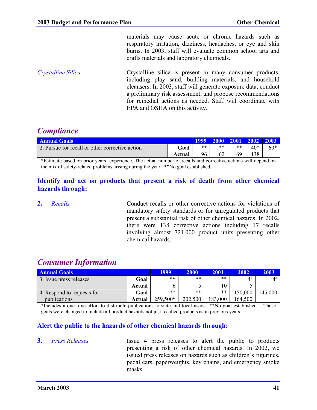materials may cause acute or chronic hazards such as respiratory irritation, dizziness, headaches, or eye and skin burns. In 2003, staff will evaluate common school arts and crafts materials and laboratory chemicals.

*Crystalline Silica* Crystalline silica is present in many consumer products, including play sand, building materials, and household cleansers. In 2003, staff will generate exposure data, conduct a preliminary risk assessment, and propose recommendations for remedial actions as needed. Staff will coordinate with EPA and OSHA on this activity.

## *Compliance*

| <b>Annual Goals</b>                             |        | <b>1999</b> | 2000 2001 |    | $\vert$ 2002 | <b>2003</b> |
|-------------------------------------------------|--------|-------------|-----------|----|--------------|-------------|
| 2. Pursue for recall or other corrective action | Goal   | **          | $***$     | ** | 40*          | 60*         |
|                                                 | Actual | 96          | 62        | 69 | 38           |             |

\*Estimate based on prior years' experience. The actual number of recalls and corrective actions will depend on the mix of safety-related problems arising during the year. \*\*No goal established.

### **Identify and act on products that present a risk of death from other chemical hazards through:**

**2.** *Recalls* Conduct recalls or other corrective actions for violations of mandatory safety standards or for unregulated products that present a substantial risk of other chemical hazards. In 2002, there were 138 corrective actions including 17 recalls involving almost 721,000 product units presenting other chemical hazards.

## *Consumer Information*

| <b>Annual Goals</b>        |        | 1999     | <b>2000</b> | 2001    | 2002           | 2003           |
|----------------------------|--------|----------|-------------|---------|----------------|----------------|
| 3. Issue press releases    | Goal   | $***$    | $***$       | $***$   | $\varDelta^\#$ | $\varDelta^\#$ |
|                            | Actual |          |             | 10      |                |                |
| 4. Respond to requests for | Goal   | **       | **          | **      | 150,000        | 145,000        |
| publications               | Actual | 259,500* | 202,500     | 183,000 | 164,500        |                |

\*Includes a one time effort to distribute publications to state and local users. \*\*No goal established. #These goals were changed to include all product hazards not just recalled products as in previous years.

### **Alert the public to the hazards of other chemical hazards through:**

**3.** *Press Releases* Issue 4 press releases to alert the public to products presenting a risk of other chemical hazards. In 2002, we issued press releases on hazards such as children's figurines, pedal cars, paperweights, key chains, and emergency smoke masks.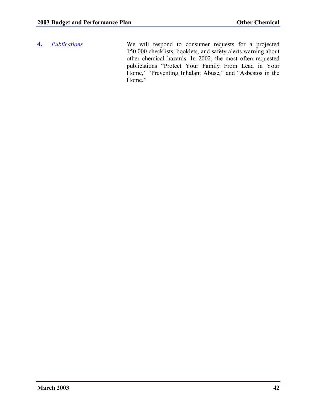**4.** *Publications* We will respond to consumer requests for a projected 150,000 checklists, booklets, and safety alerts warning about other chemical hazards. In 2002, the most often requested publications "Protect Your Family From Lead in Your Home," "Preventing Inhalant Abuse," and "Asbestos in the Home."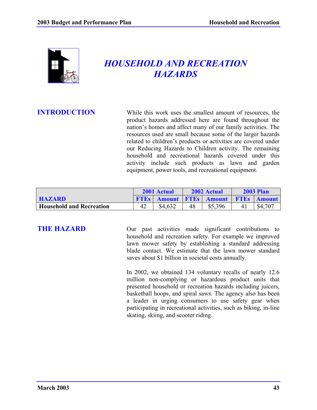

# *HOUSEHOLD AND RECREATION HAZARDS*

**INTRODUCTION** While this work uses the smallest amount of resources, the product hazards addressed here are found throughout the nation's homes and affect many of our family activities. The resources used are small because some of the larger hazards related to children's products or activities are covered under our Reducing Hazards to Children activity. The remaining household and recreational hazards covered under this activity include such products as lawn and garden equipment, power tools, and recreational equipment.

|                                 | 2001 Actual |               |    | 2002 Actual             | <b>2003 Plan</b> |               |  |
|---------------------------------|-------------|---------------|----|-------------------------|------------------|---------------|--|
| <b>HAZARD</b>                   | <b>FTEs</b> | <b>Amount</b> |    | <b>FTES Amount FTES</b> |                  | <b>Amount</b> |  |
| <b>Household and Recreation</b> | 42          | \$4,632       | 48 | \$5,396                 |                  | \$4,707       |  |

**THE HAZARD** Our past activities made significant contributions to household and recreation safety. For example we improved lawn mower safety by establishing a standard addressing blade contact. We estimate that the lawn mower standard saves about \$1 billion in societal costs annually.

> In 2002, we obtained 134 voluntary recalls of nearly 12.6 million non-complying or hazardous product units that presented household or recreation hazards including juicers, basketball hoops, and spiral saws. The agency also has been a leader in urging consumers to use safety gear when participating in recreational activities, such as biking, in-line skating, skiing, and scooter riding.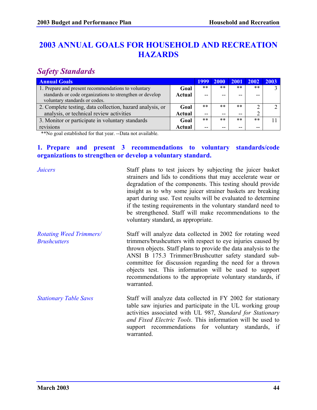# **2003 ANNUAL GOALS FOR HOUSEHOLD AND RECREATION HAZARDS**

## *Safety Standards*

| <b>Annual Goals</b>                                       |               | 1999  | <b>2000</b> | <b>2001</b> | 2002  | 2003 |
|-----------------------------------------------------------|---------------|-------|-------------|-------------|-------|------|
| 1. Prepare and present recommendations to voluntary       | Goal          | $***$ | $***$       | $***$       | $***$ |      |
| standards or code organizations to strengthen or develop  | <b>Actual</b> | $- -$ |             | --          | --    |      |
| voluntary standards or codes.                             |               |       |             |             |       |      |
| 2. Complete testing, data collection, hazard analysis, or | Goal          | $***$ | $***$       | $***$       |       |      |
| analysis, or technical review activities                  | Actual        | $- -$ | --          | $- -$       |       |      |
| 3. Monitor or participate in voluntary standards          | Goal          | $***$ | $***$       | $***$       | **    |      |
| revisions                                                 | Actual        | --    | --          | $- -$       | $- -$ |      |

\*\*No goal established for that year. --Data not available.

### **1. Prepare and present 3 recommendations to voluntary standards/code organizations to strengthen or develop a voluntary standard.**

| <b>Juicers</b>                                        | Staff plans to test juicers by subjecting the juicer basket<br>strainers and lids to conditions that may accelerate wear or<br>degradation of the components. This testing should provide<br>insight as to why some juicer strainer baskets are breaking<br>apart during use. Test results will be evaluated to determine<br>if the testing requirements in the voluntary standard need to<br>be strengthened. Staff will make recommendations to the<br>voluntary standard, as appropriate. |
|-------------------------------------------------------|----------------------------------------------------------------------------------------------------------------------------------------------------------------------------------------------------------------------------------------------------------------------------------------------------------------------------------------------------------------------------------------------------------------------------------------------------------------------------------------------|
| <b>Rotating Weed Trimmers/</b><br><b>Brushcutters</b> | Staff will analyze data collected in 2002 for rotating weed<br>trimmers/brushcutters with respect to eye injuries caused by<br>thrown objects. Staff plans to provide the data analysis to the<br>ANSI B 175.3 Trimmer/Brushcutter safety standard sub-<br>committee for discussion regarding the need for a thrown<br>objects test. This information will be used to support<br>recommendations to the appropriate voluntary standards, if<br>warranted.                                    |
| <b>Stationary Table Saws</b>                          | Staff will analyze data collected in FY 2002 for stationary<br>table saw injuries and participate in the UL working group<br>activities associated with UL 987, Standard for Stationary<br>and Fixed Electric Tools. This information will be used to<br>support recommendations for voluntary standards, if<br>warranted.                                                                                                                                                                   |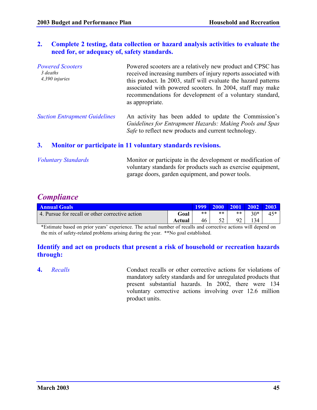### **2. Complete 2 testing, data collection or hazard analysis activities to evaluate the need for, or adequacy of, safety standards.**

| <b>Powered Scooters</b><br>3 deaths<br>4,390 injuries | Powered scooters are a relatively new product and CPSC has<br>received increasing numbers of injury reports associated with<br>this product. In 2003, staff will evaluate the hazard patterns<br>associated with powered scooters. In 2004, staff may make<br>recommendations for development of a voluntary standard,<br>as appropriate. |
|-------------------------------------------------------|-------------------------------------------------------------------------------------------------------------------------------------------------------------------------------------------------------------------------------------------------------------------------------------------------------------------------------------------|
|                                                       |                                                                                                                                                                                                                                                                                                                                           |

### **3. Monitor or participate in 11 voluntary standards revisions.**

| <b>Voluntary Standards</b> | Monitor or participate in the development or modification of |
|----------------------------|--------------------------------------------------------------|
|                            | voluntary standards for products such as exercise equipment, |
|                            | garage doors, garden equipment, and power tools.             |

### *Compliance*

| <b>Annual Goals</b>                             | 1999'  | <b>2000</b> | $ 2001 $ $ 2002 $ |    | $\sqrt{2003}$ |       |
|-------------------------------------------------|--------|-------------|-------------------|----|---------------|-------|
| 4. Pursue for recall or other corrective action | Goal   | $***$       | **                | ** | $20*$         | $45*$ |
|                                                 | Actual | 46          | ◡▵                |    | 34            |       |

\*Estimate based on prior years' experience. The actual number of recalls and corrective actions will depend on the mix of safety-related problems arising during the year. \*\*No goal established.

### **Identify and act on products that present a risk of household or recreation hazards through:**

**4.** *Recalls* Conduct recalls or other corrective actions for violations of mandatory safety standards and for unregulated products that present substantial hazards. In 2002, there were 134 voluntary corrective actions involving over 12.6 million product units.

*Suction Entrapment Guidelines* An activity has been added to update the Commission's *Guidelines for Entrapment Hazards: Making Pools and Spas Safe* to reflect new products and current technology.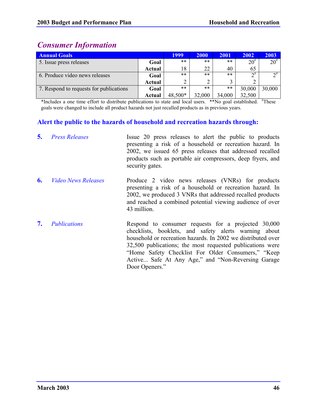# *Consumer Information*

| <b>Annual Goals</b>                     |        | 1999    | 2000   | 2001   | 2002                   | 2003               |
|-----------------------------------------|--------|---------|--------|--------|------------------------|--------------------|
| 5. Issue press releases                 | Goal   | $***$   | $***$  | $***$  | $20^{#}$               | $20^{#}$           |
|                                         | Actual | 18      | 22     | 40     | 65                     |                    |
| 6. Produce video news releases          | Goal   | $***$   | $***$  | $***$  | $\mathbf{\Omega}^{\#}$ | $\mathcal{D}^{\#}$ |
|                                         | Actual |         | ◠      |        |                        |                    |
| 7. Respond to requests for publications | Goal   | $***$   | $***$  | $***$  | 30,000                 | 30,000             |
|                                         | Actual | 48,500* | 32,000 | 34,000 | 32,500                 |                    |

\*Includes a one time effort to distribute publications to state and local users. \*\*No goal established. #These goals were changed to include all product hazards not just recalled products as in previous years.

### **Alert the public to the hazards of household and recreation hazards through:**

| 5. | <b>Press Releases</b>      | Issue 20 press releases to alert the public to products<br>presenting a risk of a household or recreation hazard. In<br>2002, we issued 65 press releases that addressed recalled<br>products such as portable air compressors, deep fryers, and<br>security gates.                                                                                                     |
|----|----------------------------|-------------------------------------------------------------------------------------------------------------------------------------------------------------------------------------------------------------------------------------------------------------------------------------------------------------------------------------------------------------------------|
| 6. | <i>Video News Releases</i> | Produce 2 video news releases (VNRs) for products<br>presenting a risk of a household or recreation hazard. In<br>2002, we produced 3 VNRs that addressed recalled products<br>and reached a combined potential viewing audience of over<br>43 million.                                                                                                                 |
| 7. | <i>Publications</i>        | Respond to consumer requests for a projected 30,000<br>checklists, booklets, and safety alerts warning about<br>household or recreation hazards. In 2002 we distributed over<br>32,500 publications; the most requested publications were<br>"Home Safety Checklist For Older Consumers," "Keep<br>Active Safe At Any Age," and "Non-Reversing Garage<br>Door Openers." |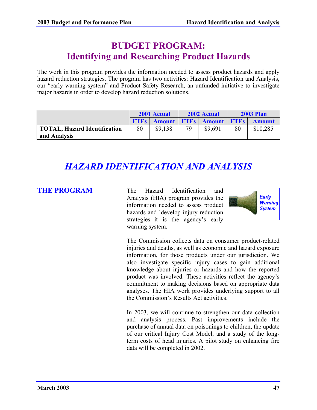# **BUDGET PROGRAM: Identifying and Researching Product Hazards**

The work in this program provides the information needed to assess product hazards and apply hazard reduction strategies. The program has two activities: Hazard Identification and Analysis, our "early warning system" and Product Safety Research, an unfunded initiative to investigate major hazards in order to develop hazard reduction solutions.

|                                     | 2001 Actual |         | 2002 Actual |                                | <b>2003 Plan</b> |               |
|-------------------------------------|-------------|---------|-------------|--------------------------------|------------------|---------------|
|                                     | <b>FTES</b> |         |             | <b>Amount FTEs Amount FTEs</b> |                  | <b>Amount</b> |
| <b>TOTAL, Hazard Identification</b> | 80          | \$9,138 | 79          | \$9.691                        | 80               | \$10,285      |
| and Analysis                        |             |         |             |                                |                  |               |

# *HAZARD IDENTIFICATION AND ANALYSIS*

**THE PROGRAM** The Hazard Identification and Analysis (HIA) program provides the information needed to assess product hazards and `develop injury reduction strategies--it is the agency's early warning system.



The Commission collects data on consumer product-related injuries and deaths, as well as economic and hazard exposure information, for those products under our jurisdiction. We also investigate specific injury cases to gain additional knowledge about injuries or hazards and how the reported product was involved. These activities reflect the agency's commitment to making decisions based on appropriate data analyses. The HIA work provides underlying support to all the Commission's Results Act activities.

In 2003, we will continue to strengthen our data collection and analysis process. Past improvements include the purchase of annual data on poisonings to children, the update of our critical Injury Cost Model, and a study of the longterm costs of head injuries. A pilot study on enhancing fire data will be completed in 2002.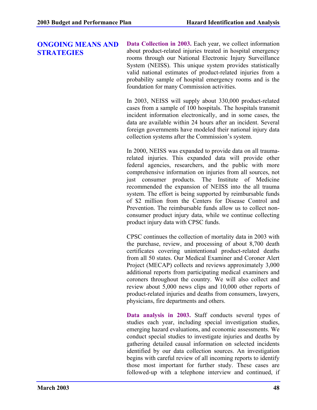### **ONGOING MEANS AND STRATEGIES**

**Data Collection in 2003.** Each year, we collect information about product-related injuries treated in hospital emergency rooms through our National Electronic Injury Surveillance System (NEISS). This unique system provides statistically valid national estimates of product-related injuries from a probability sample of hospital emergency rooms and is the foundation for many Commission activities.

In 2003, NEISS will supply about 330,000 product-related cases from a sample of 100 hospitals. The hospitals transmit incident information electronically, and in some cases, the data are available within 24 hours after an incident. Several foreign governments have modeled their national injury data collection systems after the Commission's system.

In 2000, NEISS was expanded to provide data on all traumarelated injuries. This expanded data will provide other federal agencies, researchers, and the public with more comprehensive information on injuries from all sources, not just consumer products. The Institute of Medicine recommended the expansion of NEISS into the all trauma system. The effort is being supported by reimbursable funds of \$2 million from the Centers for Disease Control and Prevention. The reimbursable funds allow us to collect nonconsumer product injury data, while we continue collecting product injury data with CPSC funds.

CPSC continues the collection of mortality data in 2003 with the purchase, review, and processing of about 8,700 death certificates covering unintentional product-related deaths from all 50 states. Our Medical Examiner and Coroner Alert Project (MECAP) collects and reviews approximately 3,000 additional reports from participating medical examiners and coroners throughout the country. We will also collect and review about 5,000 news clips and 10,000 other reports of product-related injuries and deaths from consumers, lawyers, physicians, fire departments and others.

**Data analysis in 2003.** Staff conducts several types of studies each year, including special investigation studies, emerging hazard evaluations, and economic assessments. We conduct special studies to investigate injuries and deaths by gathering detailed causal information on selected incidents identified by our data collection sources. An investigation begins with careful review of all incoming reports to identify those most important for further study. These cases are followed-up with a telephone interview and continued, if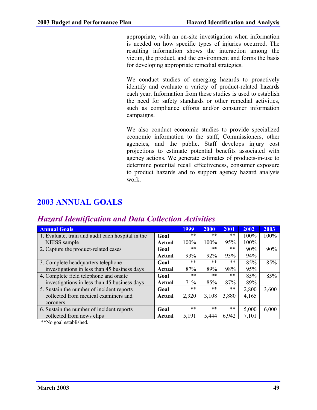appropriate, with an on-site investigation when information is needed on how specific types of injuries occurred. The resulting information shows the interaction among the victim, the product, and the environment and forms the basis for developing appropriate remedial strategies.

We conduct studies of emerging hazards to proactively identify and evaluate a variety of product-related hazards each year. Information from these studies is used to establish the need for safety standards or other remedial activities, such as compliance efforts and/or consumer information campaigns.

We also conduct economic studies to provide specialized economic information to the staff, Commissioners, other agencies, and the public. Staff develops injury cost projections to estimate potential benefits associated with agency actions. We generate estimates of products-in-use to determine potential recall effectiveness, consumer exposure to product hazards and to support agency hazard analysis work.

# **2003 ANNUAL GOALS**

| <b>Annual Goals</b>                               |        | 1999  | 2000  | 2001  | 2002    | 2003  |
|---------------------------------------------------|--------|-------|-------|-------|---------|-------|
| 1. Evaluate, train and audit each hospital in the | Goal   | $***$ | $***$ | $***$ | 100%    | 100%  |
| NEISS sample                                      | Actual | 100%  | 100%  | 95%   | $100\%$ |       |
| 2. Capture the product-related cases              | Goal   | $***$ | $***$ | $***$ | 90%     | 90%   |
|                                                   | Actual | 93%   | 92%   | 93%   | 94%     |       |
| 3. Complete headquarters telephone                | Goal   | $***$ | $***$ | $***$ | 85%     | 85%   |
| investigations in less than 45 business days      | Actual | 87%   | 89%   | 98%   | 95%     |       |
| 4. Complete field telephone and onsite            | Goal   | $***$ | $***$ | $***$ | 85%     | 85%   |
| investigations in less than 45 business days      | Actual | 71%   | 85%   | 87%   | 89%     |       |
| 5. Sustain the number of incident reports         | Goal   | $***$ | $***$ | $***$ | 2,800   | 3,600 |
| collected from medical examiners and              | Actual | 2,920 | 3,108 | 3,880 | 4,165   |       |
| coroners                                          |        |       |       |       |         |       |
| 6. Sustain the number of incident reports         | Goal   | $***$ | $***$ | $***$ | 5,000   | 6,000 |
| collected from news clips                         | Actual | 5,191 | 5,444 | 6,942 | 7,101   |       |

## *Hazard Identification and Data Collection Activities*

\*\*No goal established.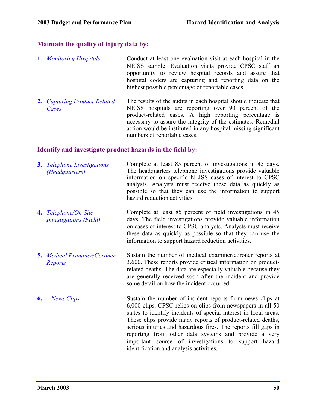### **Maintain the quality of injury data by:**

- **1.** *Monitoring Hospitals* Conduct at least one evaluation visit at each hospital in the NEISS sample. Evaluation visits provide CPSC staff an opportunity to review hospital records and assure that hospital coders are capturing and reporting data on the highest possible percentage of reportable cases.
- **2.** *Capturing Product-Related Cases* The results of the audits in each hospital should indicate that NEISS hospitals are reporting over 90 percent of the product-related cases. A high reporting percentage is necessary to assure the integrity of the estimates. Remedial action would be instituted in any hospital missing significant numbers of reportable cases.

### **Identify and investigate product hazards in the field by:**

- **3.** *Telephone Investigations (Headquarters)* Complete at least 85 percent of investigations in 45 days. The headquarters telephone investigations provide valuable information on specific NEISS cases of interest to CPSC analysts. Analysts must receive these data as quickly as possible so that they can use the information to support hazard reduction activities.
- **4.** *Telephone/On-Site Investigations (Field)* Complete at least 85 percent of field investigations in 45 days. The field investigations provide valuable information on cases of interest to CPSC analysts. Analysts must receive these data as quickly as possible so that they can use the information to support hazard reduction activities.
- **5.** *Medical Examiner/Coroner Reports* Sustain the number of medical examiner/coroner reports at 3,600. These reports provide critical information on productrelated deaths. The data are especially valuable because they are generally received soon after the incident and provide some detail on how the incident occurred.
- **6.** *News Clips* Sustain the number of incident reports from news clips at 6,000 clips. CPSC relies on clips from newspapers in all 50 states to identify incidents of special interest in local areas. These clips provide many reports of product-related deaths, serious injuries and hazardous fires. The reports fill gaps in reporting from other data systems and provide a very important source of investigations to support hazard identification and analysis activities.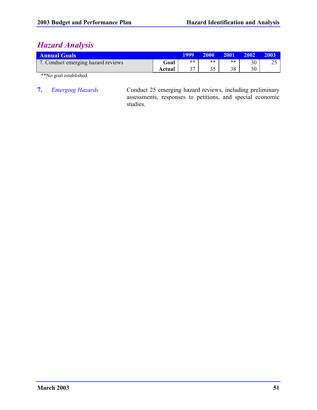# *Hazard Analysis*

| <b>Annual Goals</b>                |        |    | 2000  | 2001  | 2002 | 2003                      |
|------------------------------------|--------|----|-------|-------|------|---------------------------|
| 7. Conduct emerging hazard reviews | Goal   | ** | $***$ | $***$ | 30   | $\Delta$ $\epsilon$<br>∠~ |
|                                    | Actual | າາ | つぐ    | 38    | 30   |                           |

\*\*No goal established.

**7.** *Emerging Hazards* Conduct 25 emerging hazard reviews, including preliminary assessments, responses to petitions, and special economic studies.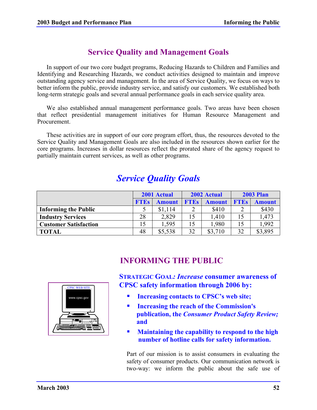## **Service Quality and Management Goals**

In support of our two core budget programs, Reducing Hazards to Children and Families and Identifying and Researching Hazards, we conduct activities designed to maintain and improve outstanding agency service and management. In the area of Service Quality, we focus on ways to better inform the public, provide industry service, and satisfy our customers. We established both long-term strategic goals and several annual performance goals in each service quality area.

We also established annual management performance goals. Two areas have been chosen that reflect presidential management initiatives for Human Resource Management and Procurement.

These activities are in support of our core program effort, thus, the resources devoted to the Service Quality and Management Goals are also included in the resources shown earlier for the core programs. Increases in dollar resources reflect the prorated share of the agency request to partially maintain current services, as well as other programs.

# *Service Quality Goals*

|                              | 2001 Actual |               |             | 2002 Actual   | <b>2003 Plan</b> |                    |  |
|------------------------------|-------------|---------------|-------------|---------------|------------------|--------------------|--|
|                              | <b>FTEs</b> | <b>Amount</b> | <b>FTEs</b> | <b>Amount</b> | <b>FTES</b>      | <b>Amount</b>      |  |
| <b>Informing the Public</b>  |             | \$1,114       |             | \$410         |                  | \$430              |  |
| <b>Industry Services</b>     | 28          | 2,829         | 15          | 1,410         | 15               | L <sub>3</sub> 473 |  |
| <b>Customer Satisfaction</b> |             | 1.595         |             | 1,980         | 15               | .992               |  |
| <b>TOTAL</b>                 | 48          | \$5,538       | 32          | \$3,710       | 32               | \$3,895            |  |

## **INFORMING THE PUBLIC**



**STRATEGIC GOAL***: Increase* **consumer awareness of CPSC safety information through 2006 by:**

- **Increasing contacts to CPSC's web site;**
- **Increasing the reach of the Commission's publication, the** *Consumer Product Safety Review;* **and**
- **Maintaining the capability to respond to the high number of hotline calls for safety information.**

Part of our mission is to assist consumers in evaluating the safety of consumer products. Our communication network is two-way: we inform the public about the safe use of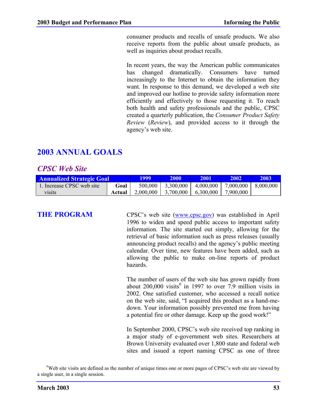consumer products and recalls of unsafe products. We also receive reports from the public about unsafe products, as well as inquiries about product recalls.

In recent years, the way the American public communicates has changed dramatically. Consumers have turned increasingly to the Internet to obtain the information they want. In response to this demand, we developed a web site and improved our hotline to provide safety information more efficiently and effectively to those requesting it. To reach both health and safety professionals and the public, CPSC created a quarterly publication, the *Consumer Product Safety Review* (*Review*), and provided access to it through the agency's web site.

## **2003 ANNUAL GOALS**

### *CPSC Web Site*

| <b>Annualized Strategic Goal</b> | 1999.  | 2000      | 2001      | 2002                  | 2003                  |  |
|----------------------------------|--------|-----------|-----------|-----------------------|-----------------------|--|
| . Increase CPSC web site         | Goal   | 500,000   | 3,300,000 | 4,000,000             | 7,000,000   8,000,000 |  |
| visits                           | Actual | 2,000,000 |           | $3,700,000$ 6,300,000 | 7,900,000             |  |

**THE PROGRAM** CPSC's web site (www.cpsc.gov) was established in April 1996 to widen and speed public access to important safety information. The site started out simply, allowing for the retrieval of basic information such as press releases (usually announcing product recalls) and the agency's public meeting calendar. Over time, new features have been added, such as allowing the public to make on-line reports of product hazards.

> The number of users of the web site has grown rapidly from about  $200,000$  visits<sup>6</sup> in 1997 to over 7.9 million visits in 2002. One satisfied customer, who accessed a recall notice on the web site, said, "I acquired this product as a hand-medown. Your information possibly prevented me from having a potential fire or other damage. Keep up the good work!"

> In September 2000, CPSC's web site received top ranking in a major study of e-government web sites. Researchers at Brown University evaluated over 1,800 state and federal web sites and issued a report naming CPSC as one of three

<sup>6</sup>Web site visits are defined as the number of unique times one or more pages of CPSC's web site are viewed by a single user, in a single session.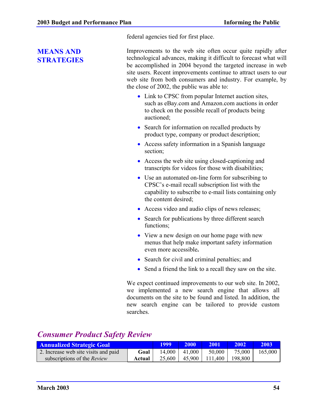federal agencies tied for first place.

### **MEANS AND STRATEGIES**

Improvements to the web site often occur quite rapidly after technological advances, making it difficult to forecast what will be accomplished in 2004 beyond the targeted increase in web site users. Recent improvements continue to attract users to our web site from both consumers and industry. For example, by the close of 2002, the public was able to:

- Link to CPSC from popular Internet auction sites, such as eBay.com and Amazon.com auctions in order to check on the possible recall of products being auctioned;
- Search for information on recalled products by product type, company or product description;
- Access safety information in a Spanish language section;
- Access the web site using closed-captioning and transcripts for videos for those with disabilities;
- Use an automated on-line form for subscribing to CPSC's e-mail recall subscription list with the capability to subscribe to e-mail lists containing only the content desired;
- Access video and audio clips of news releases;
- Search for publications by three different search functions;
- View a new design on our home page with new menus that help make important safety information even more accessible**.**
- Search for civil and criminal penalties; and
- Send a friend the link to a recall they saw on the site.

We expect continued improvements to our web site. In 2002, we implemented a new search engine that allows all documents on the site to be found and listed. In addition, the new search engine can be tailored to provide custom searches.

## *Consumer Product Safety Review*

| <b>Annualized Strategic Goal</b>     |        | <u> 1999 </u> | <b>2000</b>       | <b>2001</b>               | 2002    | 2003    |
|--------------------------------------|--------|---------------|-------------------|---------------------------|---------|---------|
| 2. Increase web site visits and paid | Goal   |               | $14,000$   41,000 | $50,000$ J                | 75,000  | 165,000 |
| subscriptions of the <i>Review</i>   | Actual |               |                   | 25,600   45,900   111,400 | 198,800 |         |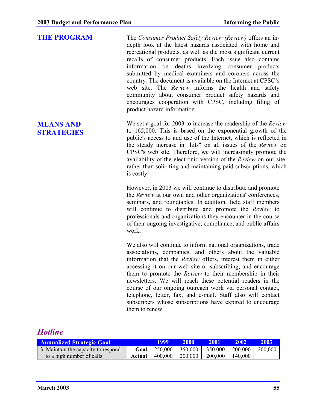**THE PROGRAM** The *Consumer Product Safety Review (Review)* offers an indepth look at the latest hazards associated with home and recreational products, as well as the most significant current recalls of consumer products. Each issue also contains information on deaths involving consumer products submitted by medical examiners and coroners across the country*.* The document is available on the Internet at CPSC's web site. The *Review* informs the health and safety community about consumer product safety hazards and encourages cooperation with CPSC, including filing of product hazard information.

> We set a goal for 2003 to increase the readership of the *Review* to 165,000. This is based on the exponential growth of the public's access to and use of the Internet, which is reflected in the steady increase in "hits" on all issues of the *Review* on CPSC's web site. Therefore, we will increasingly promote the availability of the electronic version of the *Review* on our site, rather than soliciting and maintaining paid subscriptions, which is costly.

However, in 2003 we will continue to distribute and promote the *Review* at our own and other organizations' conferences, seminars, and roundtables. In addition, field staff members will continue to distribute and promote the *Review* to professionals and organizations they encounter in the course of their ongoing investigative, compliance, and public affairs work.

We also will continue to inform national organizations, trade associations, companies, and others about the valuable information that the *Review* offers, interest them in either accessing it on our web site or subscribing, and encourage them to promote the *Review* to their membership in their newsletters. We will reach these potential readers in the course of our ongoing outreach work via personal contact, telephone, letter, fax, and e-mail. Staff also will contact subscribers whose subscriptions have expired to encourage them to renew.

## *Hotline*

| <b>Annualized Strategic Goal</b>    |        | 1999                            | 2000              | 2001                | $\sqrt{2002}$ | 2003'   |
|-------------------------------------|--------|---------------------------------|-------------------|---------------------|---------------|---------|
| 3. Maintain the capacity to respond |        | <b>Goal</b>   250,000   350,000 |                   | $350,000$   200,000 |               | 200,000 |
| to a high number of calls           | Actual |                                 | 400,000   200,000 | $200,000$           | 140,000       |         |

## **MEANS AND STRATEGIES**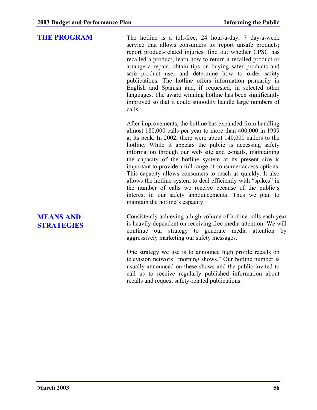**THE PROGRAM** The hotline is a toll-free, 24 hour-a-day, 7 day-a-week service that allows consumers to: report unsafe products; report product-related injuries; find out whether CPSC has recalled a product; learn how to return a recalled product or arrange a repair; obtain tips on buying safer products and safe product use; and determine how to order safety publications. The hotline offers information primarily in English and Spanish and, if requested, in selected other languages. The award winning hotline has been significantly improved so that it could smoothly handle large numbers of calls.

> After improvements, the hotline has expanded from handling almost 180,000 calls per year to more than 400,000 in 1999 at its peak. In 2002, there were about 140,000 callers to the hotline. While it appears the public is accessing safety information through our web site and e-mails, maintaining the capacity of the hotline system at its present size is important to provide a full range of consumer access options. This capacity allows consumers to reach us quickly. It also allows the hotline system to deal efficiently with "spikes" in the number of calls we receive because of the public's interest in our safety announcements. Thus we plan to maintain the hotline's capacity.

**MEANS AND STRATEGIES** Consistently achieving a high volume of hotline calls each year is heavily dependent on receiving free media attention. We will continue our strategy to generate media attention by aggressively marketing our safety messages.

One strategy we use is to announce high profile recalls on television network "morning shows." Our hotline number is usually announced on these shows and the public invited to call us to receive regularly published information about recalls and request safety-related publications.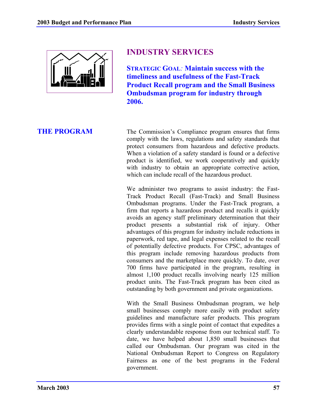

# **INDUSTRY SERVICES**

**STRATEGIC GOAL***:* **Maintain success with the timeliness and usefulness of the Fast-Track Product Recall program and the Small Business Ombudsman program for industry through 2006.**

**THE PROGRAM** The Commission's Compliance program ensures that firms comply with the laws, regulations and safety standards that protect consumers from hazardous and defective products. When a violation of a safety standard is found or a defective product is identified, we work cooperatively and quickly with industry to obtain an appropriate corrective action, which can include recall of the hazardous product.

> We administer two programs to assist industry: the Fast-Track Product Recall (Fast-Track) and Small Business Ombudsman programs. Under the Fast-Track program, a firm that reports a hazardous product and recalls it quickly avoids an agency staff preliminary determination that their product presents a substantial risk of injury. Other advantages of this program for industry include reductions in paperwork, red tape, and legal expenses related to the recall of potentially defective products. For CPSC, advantages of this program include removing hazardous products from consumers and the marketplace more quickly. To date, over 700 firms have participated in the program, resulting in almost 1,100 product recalls involving nearly 125 million product units. The Fast-Track program has been cited as outstanding by both government and private organizations.

> With the Small Business Ombudsman program, we help small businesses comply more easily with product safety guidelines and manufacture safer products. This program provides firms with a single point of contact that expedites a clearly understandable response from our technical staff. To date, we have helped about 1,850 small businesses that called our Ombudsman. Our program was cited in the National Ombudsman Report to Congress on Regulatory Fairness as one of the best programs in the Federal government.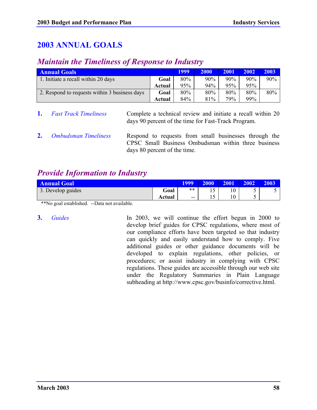# **2003 ANNUAL GOALS**

## *Maintain the Timeliness of Response to Industry*

| <b>Annual Goals</b>                           |        |     | 2000 | 2001 | 2002 | 2003 |
|-----------------------------------------------|--------|-----|------|------|------|------|
| 1. Initiate a recall within 20 days           | Goal   | 80% | 90%  | 90%  | 90%  | 90%  |
|                                               | Actual | 95% | 94%  | 95%  | 95%  |      |
| 2. Respond to requests within 3 business days | Goal   | 80% | 80%  | 80%  | 80%  | 80%  |
|                                               | Actual | 84% | 81%  | 79%  | 99%  |      |

**1.** *Fast Track Timeliness* Complete a technical review and initiate a recall within 20 days 90 percent of the time for Fast-Track Program.

**2.** *Ombudsman Timeliness* Respond to requests from small businesses through the CPSC Small Business Ombudsman within three business days 80 percent of the time.

# *Provide Information to Industry*

| <b>Annual Goal</b> |        | 1999                     | 2000           | 2001                | 2002                     | 2003 |
|--------------------|--------|--------------------------|----------------|---------------------|--------------------------|------|
| 3. Develop guides  | Goal   | **                       | $\sim$         | $\mathbf{A}$<br>1 U | $\overline{\phantom{0}}$ |      |
|                    | Actual | $\overline{\phantom{a}}$ | $\overline{a}$ | 1 $\Omega$<br>1 V   | w                        |      |

\*\*No goal established. --Data not available.

**3.** *Guides* In 2003, we will continue the effort begun in 2000 to develop brief guides for CPSC regulations, where most of our compliance efforts have been targeted so that industry can quickly and easily understand how to comply. Five additional guides or other guidance documents will be developed to explain regulations, other policies, or procedures; or assist industry in complying with CPSC regulations. These guides are accessible through our web site under the Regulatory Summaries in Plain Language subheading at http://www.cpsc.gov/businfo/corrective.html.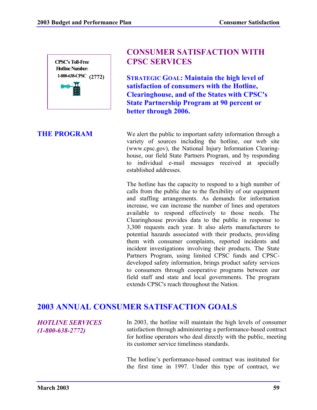

## **CONSUMER SATISFACTION WITH CPSC SERVICES**

**STRATEGIC GOAL: Maintain the high level of satisfaction of consumers with the Hotline, Clearinghouse, and of the States with CPSC's State Partnership Program at 90 percent or better through 2006.**

**THE PROGRAM** We alert the public to important safety information through a variety of sources including the hotline, our web site (www.cpsc.gov), the National Injury Information Clearinghouse, our field State Partners Program, and by responding to individual e-mail messages received at specially established addresses.

> The hotline has the capacity to respond to a high number of calls from the public due to the flexibility of our equipment and staffing arrangements. As demands for information increase, we can increase the number of lines and operators available to respond effectively to those needs. The Clearinghouse provides data to the public in response to 3,300 requests each year. It also alerts manufacturers to potential hazards associated with their products, providing them with consumer complaints, reported incidents and incident investigations involving their products. The State Partners Program, using limited CPSC funds and CPSCdeveloped safety information, brings product safety services to consumers through cooperative programs between our field staff and state and local governments. The program extends CPSC's reach throughout the Nation.

### **2003 ANNUAL CONSUMER SATISFACTION GOALS**

*HOTLINE SERVICES (1-800-638-2772)*

In 2003, the hotline will maintain the high levels of consumer satisfaction through administering a performance-based contract for hotline operators who deal directly with the public, meeting its customer service timeliness standards.

The hotline's performance-based contract was instituted for the first time in 1997. Under this type of contract, we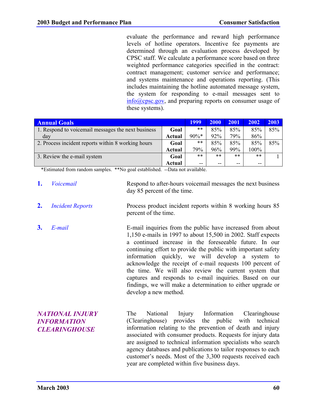evaluate the performance and reward high performance levels of hotline operators. Incentive fee payments are determined through an evaluation process developed by CPSC staff. We calculate a performance score based on three weighted performance categories specified in the contract: contract management; customer service and performance; and systems maintenance and operations reporting. (This includes maintaining the hotline automated message system, the system for responding to e-mail messages sent to info@cpsc.gov, and preparing reports on consumer usage of these systems).

| <b>Annual Goals</b>                                |        |         | <b>2000</b> | 2001  | 2002    | 2003 |
|----------------------------------------------------|--------|---------|-------------|-------|---------|------|
| 1. Respond to voicemail messages the next business | Goal   | **      | 85%         | 85%   | 85%     | 85%  |
| day                                                | Actual | $90\%*$ | 92%         | 79%   | 86%     |      |
| 2. Process incident reports within 8 working hours | Goal   | **      | 85%         | 85%   | 85%     | 85%  |
|                                                    | Actual | 79%     | 96%         | 99%   | $100\%$ |      |
| 3. Review the e-mail system                        | Goal   | $***$   | $***$       | $***$ | $***$   |      |
|                                                    | Actual | $- -$   | $- -$       | --    | $- -$   |      |

\*Estimated from random samples. \*\*No goal established. --Data not available.

- **1.** *Voicemail* Respond to after-hours voicemail messages the next business day 85 percent of the time.
- **2.** *Incident Reports* Process product incident reports within 8 working hours 85 percent of the time.
- **3.** *E-mail* E-mail inquiries from the public have increased from about 1,150 e-mails in 1997 to about 15,500 in 2002. Staff expects a continued increase in the foreseeable future. In our continuing effort to provide the public with important safety information quickly, we will develop a system to acknowledge the receipt of e-mail requests 100 percent of the time. We will also review the current system that captures and responds to e-mail inquiries. Based on our findings, we will make a determination to either upgrade or develop a new method.

| <b>NATIONAL INJURY</b> | The                                                           |  |                                               |  |  |  | National Injury Information Clearinghouse                    |  |
|------------------------|---------------------------------------------------------------|--|-----------------------------------------------|--|--|--|--------------------------------------------------------------|--|
| <b>INFORMATION</b>     |                                                               |  |                                               |  |  |  | (Clearinghouse) provides the public with technical           |  |
| <b>CLEARINGHOUSE</b>   |                                                               |  |                                               |  |  |  | information relating to the prevention of death and injury   |  |
|                        |                                                               |  |                                               |  |  |  | associated with consumer products. Requests for injury data  |  |
|                        |                                                               |  |                                               |  |  |  | are assigned to technical information specialists who search |  |
|                        | agency databases and publications to tailor responses to each |  |                                               |  |  |  |                                                              |  |
|                        | customer's needs. Most of the 3,300 requests received each    |  |                                               |  |  |  |                                                              |  |
|                        |                                                               |  | year are completed within five business days. |  |  |  |                                                              |  |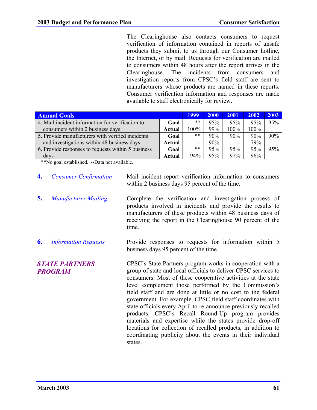The Clearinghouse also contacts consumers to request verification of information contained in reports of unsafe products they submit to us through our Consumer hotline, the Internet, or by mail. Requests for verification are mailed to consumers within 48 hours after the report arrives in the Clearinghouse. The incidents from consumers and investigation reports from CPSC's field staff are sent to manufacturers whose products are named in these reports. Consumer verification information and responses are made available to staff electronically for review.

| <b>Annual Goals</b>                                |        |       | 2000 | 2001  | 2002 | 2003 |
|----------------------------------------------------|--------|-------|------|-------|------|------|
| 4. Mail incident information for verification to   | Goal   | **    | 95%  | 95%   | 95%  | 95%  |
| consumers within 2 business days                   | Actual | 100%  | 99%  | 100%  | 100% |      |
| 5. Provide manufacturers with verified incidents   | Goal   | **    | 90%  | 90%   | 90%  | 90%  |
| and investigations within 48 business days         | Actual | --    | 90%  | $- -$ | 79%  |      |
| 6. Provide responses to requests within 5 business | Goal   | $***$ | 95%  | 95%   | 95%  | 95%  |
| days                                               | Actual | 94%   | 95%  | 97%   | 96%  |      |

\*\*No goal established. --Data not available.

- **4.** *Consumer Confirmation* Mail incident report verification information to consumers within 2 business days 95 percent of the time.
- **5.** *Manufacturer Mailing* Complete the verification and investigation process of products involved in incidents and provide the results to manufacturers of these products within 48 business days of receiving the report in the Clearinghouse 90 percent of the time.
- **6.** *Information Requests* Provide responses to requests for information within 5 business days 95 percent of the time.

*STATE PARTNERS PROGRAM* CPSC's State Partners program works in cooperation with a group of state and local officials to deliver CPSC services to consumers. Most of these cooperative activities at the state level complement those performed by the Commission's field staff and are done at little or no cost to the federal government. For example, CPSC field staff coordinates with state officials every April to re-announce previously recalled products. CPSC's Recall Round-Up program provides materials and expertise while the states provide drop-off locations for collection of recalled products, in addition to coordinating publicity about the events in their individual states.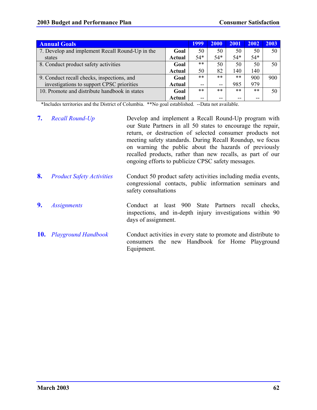| <b>Annual Goals</b>                             |               | 1999  | 2000  | 2001  | 2002  | 2003 |
|-------------------------------------------------|---------------|-------|-------|-------|-------|------|
| 7. Develop and implement Recall Round-Up in the | Goal          | 50    | 50    | 50    | 50    | 50   |
| states                                          | <b>Actual</b> | $54*$ | $54*$ | $54*$ | $54*$ |      |
| 8. Conduct product safety activities            | Goal          | $***$ | 50    | 50    | 50    | 50   |
|                                                 | Actual        | 50    | 82    | 140   | 140   |      |
| 9. Conduct recall checks, inspections, and      | Goal          | $***$ | $***$ | $***$ | 900   | 900  |
| investigations to support CPSC priorities       | Actual        | $- -$ | --    | 985   | 979   |      |
| 10. Promote and distribute handbook in states   | Goal          | $***$ | $***$ | $***$ | $***$ | 50   |
|                                                 | Actual        | --    | --    | --    | --    |      |

\*Includes territories and the District of Columbia. \*\*No goal established. --Data not available.

|    | <b>7.</b> Recall Round-Up        | Develop and implement a Recall Round-Up program with<br>our State Partners in all 50 states to encourage the repair,<br>return, or destruction of selected consumer products not<br>meeting safety standards. During Recall Roundup, we focus<br>on warning the public about the hazards of previously<br>recalled products, rather than new recalls, as part of our<br>ongoing efforts to publicize CPSC safety messages. |
|----|----------------------------------|----------------------------------------------------------------------------------------------------------------------------------------------------------------------------------------------------------------------------------------------------------------------------------------------------------------------------------------------------------------------------------------------------------------------------|
| 8. | <b>Product Safety Activities</b> | Conduct 50 product safety activities including media events,<br>congressional contacts, public information seminars and                                                                                                                                                                                                                                                                                                    |

**9.** *Assignments* Conduct at least 900 State Partners recall checks, inspections, and in-depth injury investigations within 90 days of assignment.

safety consultations

**10.** *Playground Handbook* Conduct activities in every state to promote and distribute to consumers the new Handbook for Home Playground Equipment.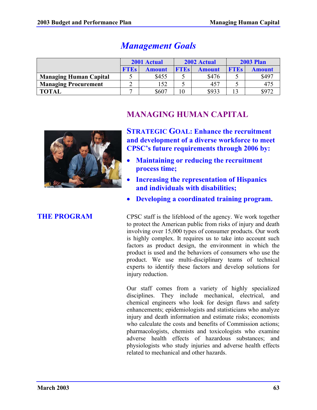|                               |            | 2001 Actual   |                              | 2002 Actual | <b>2003 Plan</b> |               |  |
|-------------------------------|------------|---------------|------------------------------|-------------|------------------|---------------|--|
|                               | <b>TES</b> | <b>Amount</b> | <b>FTES</b><br><b>Amount</b> |             | <b>FTES</b>      | <b>Amount</b> |  |
| <b>Managing Human Capital</b> |            | \$455         |                              | \$476       |                  | \$497         |  |
| <b>Managing Procurement</b>   |            | 152           |                              | 457         |                  | 475           |  |
| <b>TOTAL</b>                  |            | \$607         |                              | \$933       |                  | \$972         |  |

# *Management Goals*



# **MANAGING HUMAN CAPITAL**

**STRATEGIC GOAL: Enhance the recruitment and development of a diverse workforce to meet CPSC's future requirements through 2006 by:**

- **Maintaining or reducing the recruitment process time;**
- **Increasing the representation of Hispanics and individuals with disabilities;**
- **Developing a coordinated training program.**

**THE PROGRAM** CPSC staff is the lifeblood of the agency. We work together to protect the American public from risks of injury and death involving over 15,000 types of consumer products. Our work is highly complex. It requires us to take into account such factors as product design, the environment in which the product is used and the behaviors of consumers who use the product. We use multi-disciplinary teams of technical experts to identify these factors and develop solutions for injury reduction.

> Our staff comes from a variety of highly specialized disciplines. They include mechanical, electrical, and chemical engineers who look for design flaws and safety enhancements; epidemiologists and statisticians who analyze injury and death information and estimate risks; economists who calculate the costs and benefits of Commission actions; pharmacologists, chemists and toxicologists who examine adverse health effects of hazardous substances; and physiologists who study injuries and adverse health effects related to mechanical and other hazards.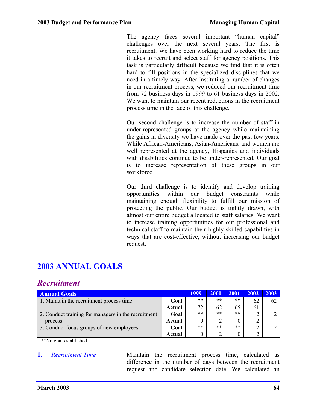The agency faces several important "human capital" challenges over the next several years. The first is recruitment. We have been working hard to reduce the time it takes to recruit and select staff for agency positions. This task is particularly difficult because we find that it is often hard to fill positions in the specialized disciplines that we need in a timely way. After instituting a number of changes in our recruitment process, we reduced our recruitment time from 72 business days in 1999 to 61 business days in 2002. We want to maintain our recent reductions in the recruitment process time in the face of this challenge.

Our second challenge is to increase the number of staff in under-represented groups at the agency while maintaining the gains in diversity we have made over the past few years. While African-Americans, Asian-Americans, and women are well represented at the agency, Hispanics and individuals with disabilities continue to be under-represented. Our goal is to increase representation of these groups in our workforce.

Our third challenge is to identify and develop training opportunities within our budget constraints while maintaining enough flexibility to fulfill our mission of protecting the public. Our budget is tightly drawn, with almost our entire budget allocated to staff salaries. We want to increase training opportunities for our professional and technical staff to maintain their highly skilled capabilities in ways that are cost-effective, without increasing our budget request.

# **2003 ANNUAL GOALS**

## *Recruitment*

| <b>Annual Goals</b>                                 |        | 1999  | <b>2000</b> | 2001  | 2002 | 2003 |
|-----------------------------------------------------|--------|-------|-------------|-------|------|------|
| 1. Maintain the recruitment process time            | Goal   | $***$ | $***$       | **    | 62   | 62   |
|                                                     | Actual | 72    | 62          | 65    | 61   |      |
| 2. Conduct training for managers in the recruitment | Goal   | **    | $***$       | $***$ |      |      |
| process                                             | Actual |       | ↑           | 0     |      |      |
| 3. Conduct focus groups of new employees            | Goal   | $***$ | **          | $***$ |      |      |
|                                                     | Actual |       | C           |       | າ    |      |

\*\*No goal established.

**1.** *Recruitment Time* Maintain the recruitment process time, calculated as difference in the number of days between the recruitment request and candidate selection date. We calculated an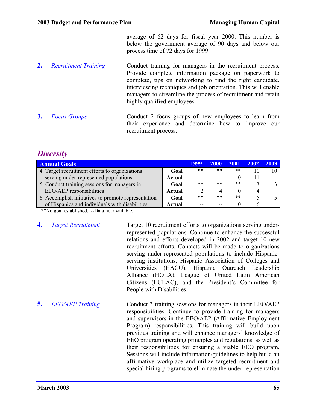average of 62 days for fiscal year 2000. This number is below the government average of 90 days and below our process time of 72 days for 1999.

- **2.** *Recruitment Training* Conduct training for managers in the recruitment process. Provide complete information package on paperwork to complete, tips on networking to find the right candidate, interviewing techniques and job orientation. This will enable managers to streamline the process of recruitment and retain highly qualified employees.
- **3.** *Focus Groups* Conduct 2 focus groups of new employees to learn from their experience and determine how to improve our recruitment process.

## *Diversity*

| <b>Annual Goals</b>                                 |        |       | <b>2000</b> | 2001  | 2002 | 2003 |
|-----------------------------------------------------|--------|-------|-------------|-------|------|------|
| 4. Target recruitment efforts to organizations      | Goal   | $***$ | $***$       | $***$ | 10   |      |
| serving under-represented populations               | Actual | $-$   | $-$         | 0     | 11   |      |
| 5. Conduct training sessions for managers in        | Goal   | $***$ | $***$       | $***$ |      |      |
| EEO/AEP responsibilities                            | Actual |       | 4           | 0     | 4    |      |
| 6. Accomplish initiatives to promote representation | Goal   | $***$ | **          | $***$ |      |      |
| of Hispanics and individuals with disabilities      | Actual | $- -$ | $ -$        | 0     | 6    |      |

\*\*No goal established. --Data not available.

**4.** *Target Recruitment* Target 10 recruitment efforts to organizations serving underrepresented populations. Continue to enhance the successful relations and efforts developed in 2002 and target 10 new recruitment efforts. Contacts will be made to organizations serving under-represented populations to include Hispanicserving institutions, Hispanic Association of Colleges and Universities (HACU), Hispanic Outreach Leadership Alliance (HOLA), League of United Latin American Citizens (LULAC), and the President's Committee for People with Disabilities.

**5.** *EEO/AEP Training* Conduct 3 training sessions for managers in their EEO/AEP responsibilities. Continue to provide training for managers and supervisors in the EEO/AEP (Affirmative Employment Program) responsibilities. This training will build upon previous training and will enhance managers' knowledge of EEO program operating principles and regulations, as well as their responsibilities for ensuring a viable EEO program. Sessions will include information/guidelines to help build an affirmative workplace and utilize targeted recruitment and special hiring programs to eliminate the under-representation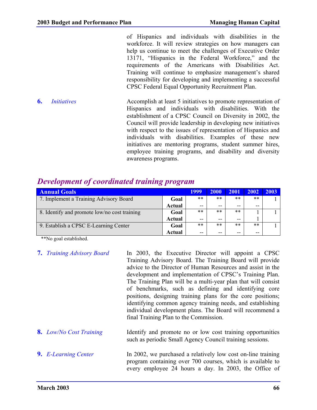of Hispanics and individuals with disabilities in the workforce. It will review strategies on how managers can help us continue to meet the challenges of Executive Order 13171, "Hispanics in the Federal Workforce," and the requirements of the Americans with Disabilities Act. Training will continue to emphasize management's shared responsibility for developing and implementing a successful CPSC Federal Equal Opportunity Recruitment Plan.

**6.** *Initiatives* Accomplish at least 5 initiatives to promote representation of Hispanics and individuals with disabilities. With the establishment of a CPSC Council on Diversity in 2002, the Council will provide leadership in developing new initiatives with respect to the issues of representation of Hispanics and individuals with disabilities. Examples of these new initiatives are mentoring programs, student summer hires, employee training programs, and disability and diversity awareness programs.

| <b>Annual Goals</b>                          |        | <b>1999</b> | <b>2000</b> | 2001  | 2002  | 2003 |
|----------------------------------------------|--------|-------------|-------------|-------|-------|------|
| 7. Implement a Training Advisory Board       | Goal   | $***$       | $***$       | $***$ | $***$ |      |
|                                              | Actual | $- -$       | --          | $- -$ | $- -$ |      |
| 8. Identify and promote low/no cost training | Goal   | $***$       | $***$       | $***$ |       |      |
|                                              | Actual | --          | --          | $- -$ |       |      |
| 9. Establish a CPSC E-Learning Center        | Goal   | $***$       | $***$       | $***$ | $***$ |      |
|                                              | Actual | --          | --          | --    | $- -$ |      |

## *Development of coordinated training program*

\*\*No goal established.

- **7.** *Training Advisory Board* In 2003, the Executive Director will appoint a CPSC Training Advisory Board. The Training Board will provide advice to the Director of Human Resources and assist in the development and implementation of CPSC's Training Plan. The Training Plan will be a multi-year plan that will consist of benchmarks, such as defining and identifying core positions, designing training plans for the core positions; identifying common agency training needs, and establishing individual development plans. The Board will recommend a final Training Plan to the Commission.
- **8.** *Low/No Cost Training* Identify and promote no or low cost training opportunities such as periodic Small Agency Council training sessions.
- **9.** *E-Learning Center* In 2002, we purchased a relatively low cost on-line training program containing over 700 courses, which is available to every employee 24 hours a day. In 2003, the Office of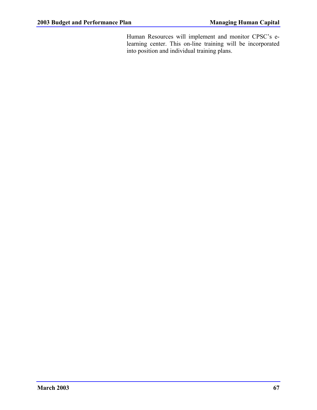Human Resources will implement and monitor CPSC's elearning center. This on-line training will be incorporated into position and individual training plans.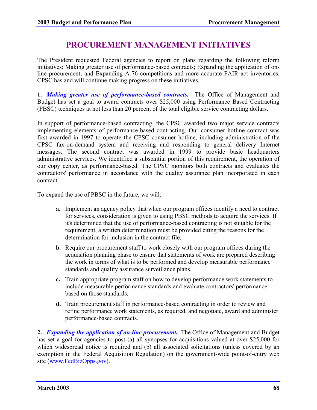## **PROCUREMENT MANAGEMENT INITIATIVES**

The President requested Federal agencies to report on plans regarding the following reform initiatives: Making greater use of performance-based contracts; Expanding the application of online procurement; and Expanding A-76 competitions and more accurate FAIR act inventories. CPSC has and will continue making progress on these initiatives.

**1.** *Making greater use of performance-based contracts.* The Office of Management and Budget has set a goal to award contracts over \$25,000 using Performance Based Contracting (PBSC) techniques at not less than 20 percent of the total eligible service contracting dollars.

In support of performance-based contracting, the CPSC awarded two major service contracts implementing elements of performance-based contracting. Our consumer hotline contract was first awarded in 1997 to operate the CPSC consumer hotline, including administration of the CPSC fax-on-demand system and receiving and responding to general delivery Internet messages. The second contract was awarded in 1999 to provide basic headquarters administrative services. We identified a substantial portion of this requirement, the operation of our copy center, as performance-based. The CPSC monitors both contracts and evaluates the contractors' performance in accordance with the quality assurance plan incorporated in each contract.

To expand the use of PBSC in the future, we will:

- **a.** Implement an agency policy that when our program offices identify a need to contract for services, consideration is given to using PBSC methods to acquire the services. If it's determined that the use of performance-based contracting is not suitable for the requirement, a written determination must be provided citing the reasons for the determination for inclusion in the contract file.
- **b.** Require our procurement staff to work closely with our program offices during the acquisition planning phase to ensure that statements of work are prepared describing the work in terms of what is to be performed and develop measurable performance standards and quality assurance surveillance plans.
- **c.** Train appropriate program staff on how to develop performance work statements to include measurable performance standards and evaluate contractors' performance based on those standards.
- **d.** Train procurement staff in performance-based contracting in order to review and refine performance work statements, as required, and negotiate, award and administer performance-based contracts.

**2.** *Expanding the application of on-line procurement.* The Office of Management and Budget has set a goal for agencies to post (a) all synopses for acquisitions valued at over \$25,000 for which widespread notice is required and (b) all associated solicitations (unless covered by an exemption in the Federal Acquisition Regulation) on the government-wide point-of-entry web site (www.FedBizOpps.gov).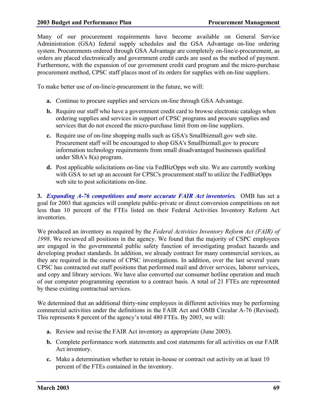Many of our procurement requirements have become available on General Service Administration (GSA) federal supply schedules and the GSA Advantage on-line ordering system. Procurements ordered through GSA Advantage are completely on-line/e-procurement, as orders are placed electronically and government credit cards are used as the method of payment. Furthermore, with the expansion of our government credit card program and the micro-purchase procurement method, CPSC staff places most of its orders for supplies with on-line suppliers.

To make better use of on-line/e-procurement in the future, we will:

- **a.** Continue to procure supplies and services on-line through GSA Advantage.
- **b.** Require our staff who have a government credit card to browse electronic catalogs when ordering supplies and services in support of CPSC programs and procure supplies and services that do not exceed the micro-purchase limit from on-line suppliers.
- **c.** Require use of on-line shopping malls such as GSA's Smallbizmall.gov web site. Procurement staff will be encouraged to shop GSA's Smallbizmall.gov to procure information technology requirements from small disadvantaged businesses qualified under SBA's 8(a) program.
- **d.** Post applicable solicitations on-line via FedBizOpps web site. We are currently working with GSA to set up an account for CPSC's procurement staff to utilize the FedBizOpps web site to post solicitations on-line.

**3.** *Expanding A-76 competitions and more accurate FAIR Act inventories.* OMB has set a goal for 2003 that agencies will complete public-private or direct conversion competitions on not less than 10 percent of the FTEs listed on their Federal Activities Inventory Reform Act inventories.

We produced an inventory as required by the *Federal Activities Inventory Reform Act (FAIR) of 1998*. We reviewed all positions in the agency. We found that the majority of CSPC employees are engaged in the governmental public safety function of investigating product hazards and developing product standards. In addition, we already contract for many commercial services, as they are required in the course of CPSC investigations. In addition, over the last several years CPSC has contracted out staff positions that performed mail and driver services, laborer services, and copy and library services. We have also converted our consumer hotline operation and much of our computer programming operation to a contract basis. A total of 21 FTEs are represented by these existing contractual services.

We determined that an additional thirty-nine employees in different activities may be performing commercial activities under the definitions in the FAIR Act and OMB Circular A-76 (Revised). This represents 8 percent of the agency's total 480 FTEs. By 2003, we will:

- **a.** Review and revise the FAIR Act inventory as appropriate (June 2003).
- **b.** Complete performance work statements and cost statements for all activities on our FAIR Act inventory.
- **c.** Make a determination whether to retain in-house or contract out activity on at least 10 percent of the FTEs contained in the inventory.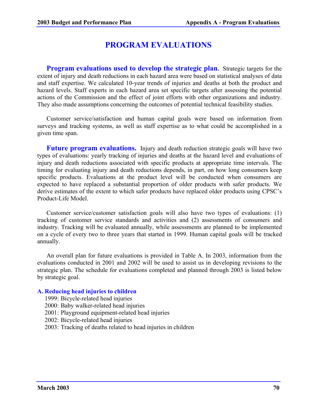## **PROGRAM EVALUATIONS**

**Program evaluations used to develop the strategic plan.** Strategic targets for the extent of injury and death reductions in each hazard area were based on statistical analyses of data and staff expertise. We calculated 10-year trends of injuries and deaths at both the product and hazard levels. Staff experts in each hazard area set specific targets after assessing the potential actions of the Commission and the effect of joint efforts with other organizations and industry. They also made assumptions concerning the outcomes of potential technical feasibility studies.

Customer service/satisfaction and human capital goals were based on information from surveys and tracking systems, as well as staff expertise as to what could be accomplished in a given time span.

**Future program evaluations.** Injury and death reduction strategic goals will have two types of evaluations: yearly tracking of injuries and deaths at the hazard level and evaluations of injury and death reductions associated with specific products at appropriate time intervals. The timing for evaluating injury and death reductions depends, in part, on how long consumers keep specific products. Evaluations at the product level will be conducted when consumers are expected to have replaced a substantial proportion of older products with safer products. We derive estimates of the extent to which safer products have replaced older products using CPSC's Product-Life Model.

Customer service/customer satisfaction goals will also have two types of evaluations: (1) tracking of customer service standards and activities and (2) assessments of consumers and industry. Tracking will be evaluated annually, while assessments are planned to be implemented on a cycle of every two to three years that started in 1999. Human capital goals will be tracked annually.

An overall plan for future evaluations is provided in Table A. In 2003, information from the evaluations conducted in 2001 and 2002 will be used to assist us in developing revisions to the strategic plan. The schedule for evaluations completed and planned through 2003 is listed below by strategic goal.

#### **A. Reducing head injuries to children**

- 1999: Bicycle-related head injuries
- 2000: Baby walker-related head injuries
- 2001: Playground equipment-related head injuries
- 2002: Bicycle-related head injuries
- 2003: Tracking of deaths related to head injuries in children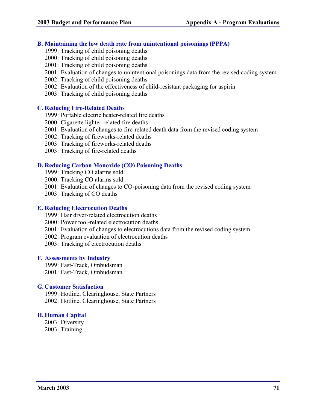#### **B. Maintaining the low death rate from unintentional poisonings (PPPA)**

- 1999: Tracking of child poisoning deaths
- 2000: Tracking of child poisoning deaths
- 2001: Tracking of child poisoning deaths
- 2001: Evaluation of changes to unintentional poisonings data from the revised coding system
- 2002: Tracking of child poisoning deaths
- 2002: Evaluation of the effectiveness of child-resistant packaging for aspirin
- 2003: Tracking of child poisoning deaths

#### **C. Reducing Fire-Related Deaths**

- 1999: Portable electric heater-related fire deaths
- 2000: Cigarette lighter-related fire deaths
- 2001: Evaluation of changes to fire-related death data from the revised coding system
- 2002: Tracking of fireworks-related deaths
- 2003: Tracking of fireworks-related deaths
- 2003: Tracking of fire-related deaths

### **D. Reducing Carbon Monoxide (CO) Poisoning Deaths**

- 1999: Tracking CO alarms sold
- 2000: Tracking CO alarms sold
- 2001: Evaluation of changes to CO-poisoning data from the revised coding system
- 2003: Tracking of CO deaths

#### **E. Reducing Electrocution Deaths**

- 1999: Hair dryer-related electrocution deaths
- 2000: Power tool-related electrocution deaths
- 2001: Evaluation of changes to electrocutions data from the revised coding system
- 2002: Program evaluation of electrocution deaths
- 2003: Tracking of electrocution deaths

### **F. Assessments by Industry**

1999: Fast-Track, Ombudsman 2001: Fast-Track, Ombudsman

#### **G. Customer Satisfaction**

1999: Hotline, Clearinghouse, State Partners 2002: Hotline, Clearinghouse, State Partners

### **H. Human Capital**

2003: Diversity 2003: Training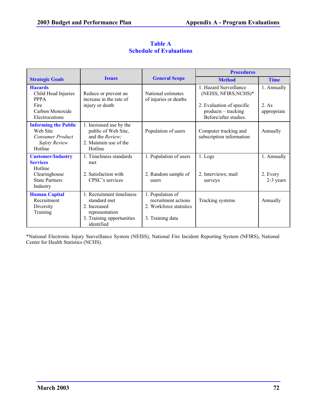|                                                                                                       | <b>Issues</b>                                                                                                         | <b>General Scope</b>                                                                   | <b>Procedures</b>                                                                                                            |                                    |
|-------------------------------------------------------------------------------------------------------|-----------------------------------------------------------------------------------------------------------------------|----------------------------------------------------------------------------------------|------------------------------------------------------------------------------------------------------------------------------|------------------------------------|
| <b>Strategic Goals</b>                                                                                |                                                                                                                       |                                                                                        | <b>Method</b>                                                                                                                | <b>Time</b>                        |
| <b>Hazards</b><br>Child Head Injuries<br><b>PPPA</b><br>Fire<br>Carbon Monoxide<br>Electrocutions     | Reduce or prevent an<br>increase in the rate of<br>injury or death                                                    | National estimates<br>of injuries or deaths                                            | 1. Hazard Surveillance<br>(NEISS, NFIRS, NCHS)*<br>2. Evaluation of specific<br>products – tracking<br>Before/after studies. | 1. Annually<br>2 As<br>appropriate |
| <b>Informing the Public</b><br>Web Site<br><b>Consumer Product</b><br><b>Safety Review</b><br>Hotline | 1. Increased use by the<br>public of Web Site,<br>and the Review;<br>2. Maintain use of the<br>Hotline                | Population of users                                                                    | Computer tracking and<br>subscription information                                                                            | Annually                           |
| <b>Customer/Industry</b><br><b>Services</b><br>Hotline                                                | 1. Timeliness standards<br>met                                                                                        | 1. Population of users                                                                 | 1. Logs                                                                                                                      | 1. Annually                        |
| Clearinghouse<br><b>State Partners</b><br>Industry                                                    | 2. Satisfaction with<br>CPSC's services                                                                               | 2. Random sample of<br>users                                                           | 2. Interviews; mail<br>surveys                                                                                               | 2. Every<br>2-3 years              |
| <b>Human Capital</b><br>Recruitment<br>Diversity<br>Training                                          | 1. Recruitment timeliness<br>standard met<br>2 Increased<br>representation<br>3. Training opportunities<br>identified | 1. Population of<br>recruitment actions<br>2. Workforce statistics<br>3. Training data | Tracking systems                                                                                                             | Annually                           |

### **Table A Schedule of Evaluations**

\*National Electronic Injury Surveillance System (NEISS), National Fire Incident Reporting System (NFIRS), National Center for Health Statistics (NCHS).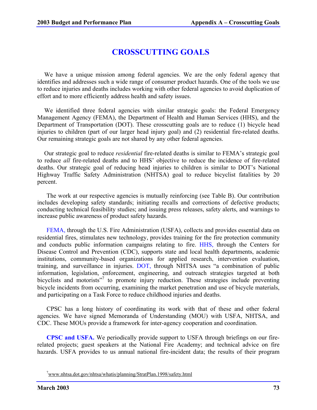# **CROSSCUTTING GOALS**

We have a unique mission among federal agencies. We are the only federal agency that identifies and addresses such a wide range of consumer product hazards. One of the tools we use to reduce injuries and deaths includes working with other federal agencies to avoid duplication of effort and to more efficiently address health and safety issues.

We identified three federal agencies with similar strategic goals: the Federal Emergency Management Agency (FEMA), the Department of Health and Human Services (HHS), and the Department of Transportation (DOT). These crosscutting goals are to reduce (1) bicycle head injuries to children (part of our larger head injury goal) and (2) residential fire-related deaths. Our remaining strategic goals are not shared by any other federal agencies.

Our strategic goal to reduce *residential* fire-related deaths is similar to FEMA's strategic goal to reduce *all* fire-related deaths and to HHS' objective to reduce the incidence of fire-related deaths. Our strategic goal of reducing head injuries to children is similar to DOT's National Highway Traffic Safety Administration (NHTSA) goal to reduce bicyclist fatalities by 20 percent.

The work at our respective agencies is mutually reinforcing (see Table B). Our contribution includes developing safety standards; initiating recalls and corrections of defective products; conducting technical feasibility studies; and issuing press releases, safety alerts, and warnings to increase public awareness of product safety hazards.

FEMA, through the U.S. Fire Administration (USFA), collects and provides essential data on residential fires, stimulates new technology, provides training for the fire protection community and conducts public information campaigns relating to fire. HHS, through the Centers for Disease Control and Prevention (CDC), supports state and local health departments, academic institutions, community-based organizations for applied research, intervention evaluation, training, and surveillance in injuries. DOT, through NHTSA uses "a combination of public information, legislation, enforcement, engineering, and outreach strategies targeted at both bicyclists and motorists"<sup>7</sup> to promote injury reduction. These strategies include preventing bicycle incidents from occurring, examining the market penetration and use of bicycle materials, and participating on a Task Force to reduce childhood injuries and deaths.

CPSC has a long history of coordinating its work with that of these and other federal agencies. We have signed Memoranda of Understanding (MOU) with USFA, NHTSA, and CDC. These MOUs provide a framework for inter-agency cooperation and coordination.

**CPSC and USFA.** We periodically provide support to USFA through briefings on our firerelated projects; guest speakers at the National Fire Academy; and technical advice on fire hazards. USFA provides to us annual national fire-incident data; the results of their program

<sup>&</sup>lt;sup>7</sup>www.nhtsa.dot.gov/nhtsa/whatis/planning/StratPlan.1998/safety.html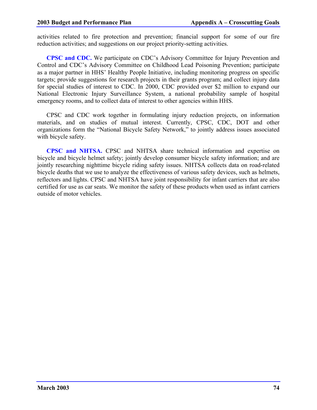activities related to fire protection and prevention; financial support for some of our fire reduction activities; and suggestions on our project priority-setting activities.

**CPSC and CDC.** We participate on CDC's Advisory Committee for Injury Prevention and Control and CDC's Advisory Committee on Childhood Lead Poisoning Prevention; participate as a major partner in HHS' Healthy People Initiative, including monitoring progress on specific targets; provide suggestions for research projects in their grants program; and collect injury data for special studies of interest to CDC. In 2000, CDC provided over \$2 million to expand our National Electronic Injury Surveillance System, a national probability sample of hospital emergency rooms, and to collect data of interest to other agencies within HHS.

CPSC and CDC work together in formulating injury reduction projects, on information materials, and on studies of mutual interest. Currently, CPSC, CDC, DOT and other organizations form the "National Bicycle Safety Network," to jointly address issues associated with bicycle safety.

**CPSC and NHTSA.** CPSC and NHTSA share technical information and expertise on bicycle and bicycle helmet safety; jointly develop consumer bicycle safety information; and are jointly researching nighttime bicycle riding safety issues. NHTSA collects data on road-related bicycle deaths that we use to analyze the effectiveness of various safety devices, such as helmets, reflectors and lights. CPSC and NHTSA have joint responsibility for infant carriers that are also certified for use as car seats. We monitor the safety of these products when used as infant carriers outside of motor vehicles.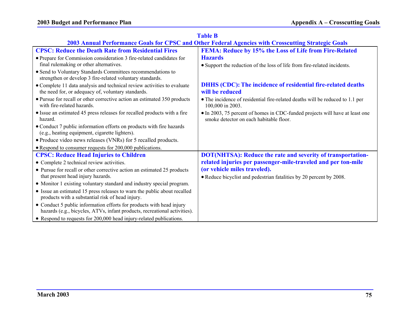| 2003 Annual Performance Goals for CPSC and Other Federal Agencies with Crosscutting Strategic Goals                           |                                                                                                                         |  |  |  |  |
|-------------------------------------------------------------------------------------------------------------------------------|-------------------------------------------------------------------------------------------------------------------------|--|--|--|--|
| <b>CPSC: Reduce the Death Rate from Residential Fires</b>                                                                     | FEMA: Reduce by 15% the Loss of Life from Fire-Related                                                                  |  |  |  |  |
| • Prepare for Commission consideration 3 fire-related candidates for                                                          | <b>Hazards</b>                                                                                                          |  |  |  |  |
| final rulemaking or other alternatives.                                                                                       | • Support the reduction of the loss of life from fire-related incidents.                                                |  |  |  |  |
| • Send to Voluntary Standards Committees recommendations to<br>strengthen or develop 3 fire-related voluntary standards.      |                                                                                                                         |  |  |  |  |
| • Complete 11 data analysis and technical review activities to evaluate<br>the need for, or adequacy of, voluntary standards. | <b>DHHS (CDC): The incidence of residential fire-related deaths</b><br>will be reduced                                  |  |  |  |  |
| • Pursue for recall or other corrective action an estimated 350 products<br>with fire-related hazards.                        | • The incidence of residential fire-related deaths will be reduced to 1.1 per<br>100,000 in 2003.                       |  |  |  |  |
| • Issue an estimated 45 press releases for recalled products with a fire<br>hazard.                                           | • In 2003, 75 percent of homes in CDC-funded projects will have at least one<br>smoke detector on each habitable floor. |  |  |  |  |
| • Conduct 7 public information efforts on products with fire hazards<br>(e.g., heating equipment, cigarette lighters).        |                                                                                                                         |  |  |  |  |
| • Produce video news releases (VNRs) for 5 recalled products.                                                                 |                                                                                                                         |  |  |  |  |
| • Respond to consumer requests for 200,000 publications.                                                                      |                                                                                                                         |  |  |  |  |
| <b>CPSC: Reduce Head Injuries to Children</b>                                                                                 | <b>DOT(NHTSA): Reduce the rate and severity of transportation-</b>                                                      |  |  |  |  |
| • Complete 2 technical review activities.                                                                                     | related injuries per passenger-mile-traveled and per ton-mile                                                           |  |  |  |  |
| • Pursue for recall or other corrective action an estimated 25 products                                                       | (or vehicle miles traveled).                                                                                            |  |  |  |  |
| that present head injury hazards.                                                                                             | • Reduce bicyclist and pedestrian fatalities by 20 percent by 2008.                                                     |  |  |  |  |
| • Monitor 1 existing voluntary standard and industry special program.                                                         |                                                                                                                         |  |  |  |  |
| • Issue an estimated 15 press releases to warn the public about recalled<br>products with a substantial risk of head injury.  |                                                                                                                         |  |  |  |  |
| • Conduct 5 public information efforts for products with head injury                                                          |                                                                                                                         |  |  |  |  |
| hazards (e.g., bicycles, ATVs, infant products, recreational activities).                                                     |                                                                                                                         |  |  |  |  |
| • Respond to requests for 200,000 head injury-related publications.                                                           |                                                                                                                         |  |  |  |  |

#### **Table B**

#### **March 200375**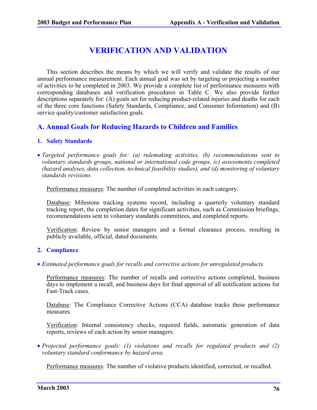# **VERIFICATION AND VALIDATION**

This section describes the means by which we will verify and validate the results of our annual performance measurement. Each annual goal was set by targeting or projecting a number of activities to be completed in 2003. We provide a complete list of performance measures with corresponding databases and verification procedures in Table C. We also provide further descriptions separately for: (A) goals set for reducing product-related injuries and deaths for each of the three core functions (Safety Standards, Compliance, and Consumer Information) and (B) service quality/customer satisfaction goals.

### **A. Annual Goals for Reducing Hazards to Children and Families**

#### **1. Safety Standards**

• *Targeted performance goals for: (a) rulemaking activities, (b) recommendations sent to voluntary standards groups, national or international code groups, (c) assessments completed (hazard analyses, data collection, technical feasibility studies), and (d) monitoring of voluntary standards revisions.*

Performance measures: The number of completed activities in each category.

Database: Milestone tracking systems record, including a quarterly voluntary standard tracking report, the completion dates for significant activities, such as Commission briefings, recommendations sent to voluntary standards committees, and completed reports.

Verification: Review by senior managers and a formal clearance process, resulting in publicly available, official, dated documents.

#### **2. Compliance**

• *Estimated performance goals for recalls and corrective actions for unregulated products.*

Performance measures: The number of recalls and corrective actions completed, business days to implement a recall, and business days for final approval of all notification actions for Fast-Track cases.

Database: The Compliance Corrective Actions (CCA) database tracks these performance measures.

Verification: Internal consistency checks, required fields, automatic generation of data reports, reviews of each action by senior managers.

• *Projected performance goals: (1) violations and recalls for regulated products and (2) voluntary standard conformance by hazard area.*

Performance measures: The number of violative products identified, corrected, or recalled.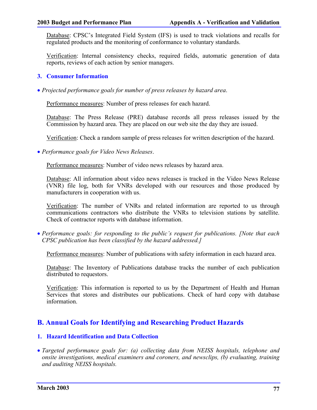Database: CPSC's Integrated Field System (IFS) is used to track violations and recalls for regulated products and the monitoring of conformance to voluntary standards.

Verification: Internal consistency checks, required fields, automatic generation of data reports, reviews of each action by senior managers.

### **3. Consumer Information**

• *Projected performance goals for number of press releases by hazard area*.

Performance measures: Number of press releases for each hazard.

Database: The Press Release (PRE) database records all press releases issued by the Commission by hazard area. They are placed on our web site the day they are issued.

Verification: Check a random sample of press releases for written description of the hazard.

• *Performance goals for Video News Releases*.

Performance measures: Number of video news releases by hazard area.

Database: All information about video news releases is tracked in the Video News Release (VNR) file log, both for VNRs developed with our resources and those produced by manufacturers in cooperation with us.

Verification: The number of VNRs and related information are reported to us through communications contractors who distribute the VNRs to television stations by satellite. Check of contractor reports with database information.

• *Performance goals: for responding to the public's request for publications. [Note that each CPSC publication has been classified by the hazard addressed.]*

Performance measures: Number of publications with safety information in each hazard area.

Database: The Inventory of Publications database tracks the number of each publication distributed to requestors.

Verification: This information is reported to us by the Department of Health and Human Services that stores and distributes our publications. Check of hard copy with database information.

## **B. Annual Goals for Identifying and Researching Product Hazards**

### **1. Hazard Identification and Data Collection**

• *Targeted performance goals for: (a) collecting data from NEISS hospitals, telephone and onsite investigations, medical examiners and coroners, and newsclips, (b) evaluating, training and auditing NEISS hospitals.*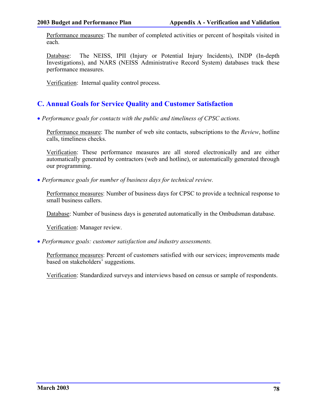Performance measures: The number of completed activities or percent of hospitals visited in each.

Database: The NEISS, IPII (Injury or Potential Injury Incidents), INDP (In-depth Investigations), and NARS (NEISS Administrative Record System) databases track these performance measures.

Verification: Internal quality control process.

## **C. Annual Goals for Service Quality and Customer Satisfaction**

• *Performance goals for contacts with the public and timeliness of CPSC actions.*

Performance measure: The number of web site contacts, subscriptions to the *Review*, hotline calls, timeliness checks.

Verification: These performance measures are all stored electronically and are either automatically generated by contractors (web and hotline), or automatically generated through our programming.

• *Performance goals for number of business days for technical review.*

Performance measures: Number of business days for CPSC to provide a technical response to small business callers.

Database: Number of business days is generated automatically in the Ombudsman database.

Verification: Manager review.

• *Performance goals: customer satisfaction and industry assessments.*

Performance measures: Percent of customers satisfied with our services; improvements made based on stakeholders' suggestions.

Verification: Standardized surveys and interviews based on census or sample of respondents.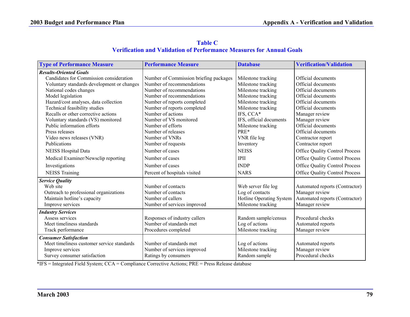| <b>Table C</b>                                                              |
|-----------------------------------------------------------------------------|
| <b>Verification and Validation of Performance Measures for Annual Goals</b> |

| <b>Type of Performance Measure</b>         | <b>Performance Measure</b>             | <b>Database</b>          | <b>Verification/Validation</b>        |
|--------------------------------------------|----------------------------------------|--------------------------|---------------------------------------|
| <b>Results-Oriented Goals</b>              |                                        |                          |                                       |
| Candidates for Commission consideration    | Number of Commission briefing packages | Milestone tracking       | Official documents                    |
| Voluntary standards development or changes | Number of recommendations              | Milestone tracking       | Official documents                    |
| National codes changes                     | Number of recommendations              | Milestone tracking       | Official documents                    |
| Model legislation                          | Number of recommendations              | Milestone tracking       | Official documents                    |
| Hazard/cost analyses, data collection      | Number of reports completed            | Milestone tracking       | Official documents                    |
| Technical feasibility studies              | Number of reports completed            | Milestone tracking       | Official documents                    |
| Recalls or other corrective actions        | Number of actions                      | IFS, CCA*                | Manager review                        |
| Voluntary standards (VS) monitored         | Number of VS monitored                 | IFS, official documents  | Manager review                        |
| Public information efforts                 | Number of efforts                      | Milestone tracking       | Official documents                    |
| Press releases                             | Number of releases                     | PRE*                     | Official documents                    |
| Video news releases (VNR)                  | Number of VNRs                         | VNR file log             | Contractor report                     |
| Publications                               | Number of requests                     | Inventory                | Contractor report                     |
| <b>NEISS Hospital Data</b>                 | Number of cases                        | <b>NEISS</b>             | Office Quality Control Process        |
| Medical Examiner/Newsclip reporting        | Number of cases                        | <b>IPII</b>              | <b>Office Quality Control Process</b> |
| Investigations                             | Number of cases                        | <b>INDP</b>              | <b>Office Quality Control Process</b> |
| <b>NEISS Training</b>                      | Percent of hospitals visited           | <b>NARS</b>              | Office Quality Control Process        |
| <b>Service Quality</b>                     |                                        |                          |                                       |
| Web site                                   | Number of contacts                     | Web server file log      | Automated reports (Contractor)        |
| Outreach to professional organizations     | Number of contacts                     | Log of contacts          | Manager review                        |
| Maintain hotline's capacity                | Number of callers                      | Hotline Operating System | Automated reports (Contractor)        |
| Improve services                           | Number of services improved            | Milestone tracking       | Manager review                        |
| <b>Industry Services</b>                   |                                        |                          |                                       |
| Assess services                            | Responses of industry callers          | Random sample/census     | Procedural checks                     |
| Meet timeliness standards                  | Number of standards met                | Log of actions           | Automated reports                     |
| Track performance                          | Procedures completed                   | Milestone tracking       | Manager review                        |
| <b>Consumer Satisfaction</b>               |                                        |                          |                                       |
| Meet timeliness customer service standards | Number of standards met                | Log of actions           | Automated reports                     |
| Improve services                           | Number of services improved            | Milestone tracking       | Manager review                        |
| Survey consumer satisfaction               | Ratings by consumers                   | Random sample            | Procedural checks                     |

\*IFS = Integrated Field System; CCA = Compliance Corrective Actions; PRE = Press Release database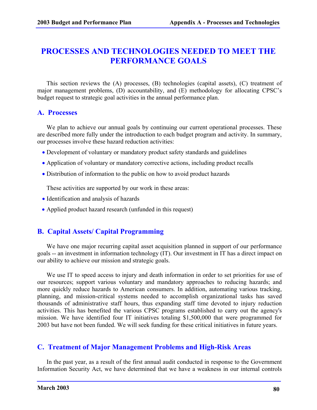## **PROCESSES AND TECHNOLOGIES NEEDED TO MEET THE PERFORMANCE GOALS**

This section reviews the (A) processes, (B) technologies (capital assets), (C) treatment of major management problems, (D) accountability, and (E) methodology for allocating CPSC's budget request to strategic goal activities in the annual performance plan.

### **A. Processes**

We plan to achieve our annual goals by continuing our current operational processes. These are described more fully under the introduction to each budget program and activity. In summary, our processes involve these hazard reduction activities:

- Development of voluntary or mandatory product safety standards and guidelines
- Application of voluntary or mandatory corrective actions, including product recalls
- Distribution of information to the public on how to avoid product hazards

These activities are supported by our work in these areas:

- Identification and analysis of hazards
- Applied product hazard research (unfunded in this request)

## **B. Capital Assets/ Capital Programming**

We have one major recurring capital asset acquisition planned in support of our performance goals -- an investment in information technology (IT). Our investment in IT has a direct impact on our ability to achieve our mission and strategic goals.

We use IT to speed access to injury and death information in order to set priorities for use of our resources; support various voluntary and mandatory approaches to reducing hazards; and more quickly reduce hazards to American consumers. In addition, automating various tracking, planning, and mission-critical systems needed to accomplish organizational tasks has saved thousands of administrative staff hours, thus expanding staff time devoted to injury reduction activities. This has benefited the various CPSC programs established to carry out the agency's mission. We have identified four IT initiatives totaling \$1,500,000 that were programmed for 2003 but have not been funded. We will seek funding for these critical initiatives in future years.

## **C. Treatment of Major Management Problems and High-Risk Areas**

In the past year, as a result of the first annual audit conducted in response to the Government Information Security Act, we have determined that we have a weakness in our internal controls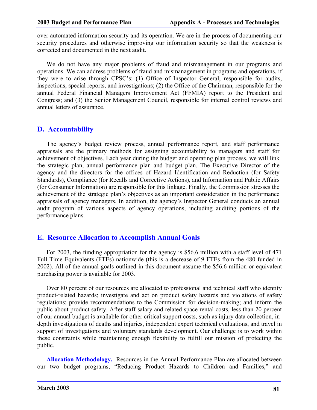over automated information security and its operation. We are in the process of documenting our security procedures and otherwise improving our information security so that the weakness is corrected and documented in the next audit.

We do not have any major problems of fraud and mismanagement in our programs and operations. We can address problems of fraud and mismanagement in programs and operations, if they were to arise through CPSC's: (1) Office of Inspector General, responsible for audits, inspections, special reports, and investigations; (2) the Office of the Chairman, responsible for the annual Federal Financial Managers Improvement Act (FFMIA) report to the President and Congress; and (3) the Senior Management Council, responsible for internal control reviews and annual letters of assurance.

### **D. Accountability**

The agency's budget review process, annual performance report, and staff performance appraisals are the primary methods for assigning accountability to managers and staff for achievement of objectives. Each year during the budget and operating plan process, we will link the strategic plan, annual performance plan and budget plan. The Executive Director of the agency and the directors for the offices of Hazard Identification and Reduction (for Safety Standards), Compliance (for Recalls and Corrective Actions), and Information and Public Affairs (for Consumer Information) are responsible for this linkage. Finally, the Commission stresses the achievement of the strategic plan's objectives as an important consideration in the performance appraisals of agency managers. In addition, the agency's Inspector General conducts an annual audit program of various aspects of agency operations, including auditing portions of the performance plans.

## **E. Resource Allocation to Accomplish Annual Goals**

For 2003, the funding appropriation for the agency is \$56.6 million with a staff level of 471 Full Time Equivalents (FTEs) nationwide (this is a decrease of 9 FTEs from the 480 funded in 2002). All of the annual goals outlined in this document assume the \$56.6 million or equivalent purchasing power is available for 2003.

Over 80 percent of our resources are allocated to professional and technical staff who identify product-related hazards; investigate and act on product safety hazards and violations of safety regulations; provide recommendations to the Commission for decision-making; and inform the public about product safety. After staff salary and related space rental costs, less than 20 percent of our annual budget is available for other critical support costs, such as injury data collection, indepth investigations of deaths and injuries, independent expert technical evaluations, and travel in support of investigations and voluntary standards development. Our challenge is to work within these constraints while maintaining enough flexibility to fulfill our mission of protecting the public.

**Allocation Methodology.** Resources in the Annual Performance Plan are allocated between our two budget programs, "Reducing Product Hazards to Children and Families," and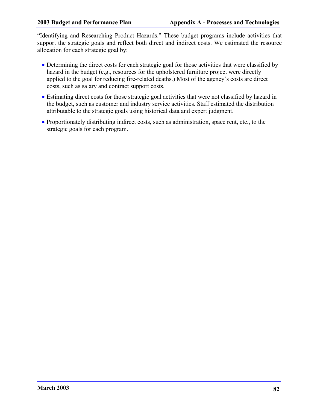"Identifying and Researching Product Hazards." These budget programs include activities that support the strategic goals and reflect both direct and indirect costs. We estimated the resource allocation for each strategic goal by:

- Determining the direct costs for each strategic goal for those activities that were classified by hazard in the budget (e.g., resources for the upholstered furniture project were directly applied to the goal for reducing fire-related deaths.) Most of the agency's costs are direct costs, such as salary and contract support costs.
- Estimating direct costs for those strategic goal activities that were not classified by hazard in the budget, such as customer and industry service activities. Staff estimated the distribution attributable to the strategic goals using historical data and expert judgment.
- Proportionately distributing indirect costs, such as administration, space rent, etc., to the strategic goals for each program.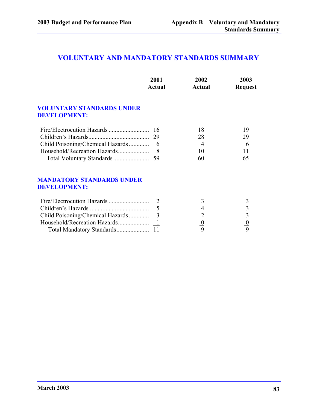## **VOLUNTARY AND MANDATORY STANDARDS SUMMARY**

|                                                         | 2001<br>Actual | 2002<br>Actual | 2003<br><b>Request</b>  |
|---------------------------------------------------------|----------------|----------------|-------------------------|
| <b>VOLUNTARY STANDARDS UNDER</b><br><b>DEVELOPMENT:</b> |                |                |                         |
|                                                         | -16            | 18             | 19                      |
|                                                         | 29             | 28             | 29                      |
| Child Poisoning/Chemical Hazards                        | $-6$           | $\overline{4}$ | 6                       |
|                                                         |                | 10             | 11                      |
|                                                         |                | 60             | 65                      |
| <b>MANDATORY STANDARDS UNDER</b><br><b>DEVELOPMENT:</b> |                |                |                         |
|                                                         |                | 3              | 3                       |
|                                                         | 5              | 4              | $\overline{\mathbf{3}}$ |
| Child Poisoning/Chemical Hazards                        | 3              | $\overline{2}$ | $\overline{\mathbf{3}}$ |
|                                                         |                |                | $\frac{0}{9}$           |
|                                                         |                | $\frac{0}{9}$  |                         |